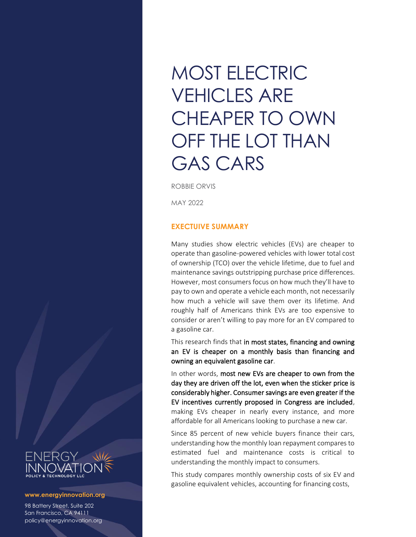# MOST ELECTRIC VEHICLES ARE CHEAPER TO OWN OFF THE LOT THAN GAS CARS

ROBBIE ORVIS

MAY 2022

## **EXECTUIVE SUMMARY**

Many studies show electric vehicles (EVs) are cheaper to operate than gasoline-powered vehicles with lower total cost of ownership (TCO) over the vehicle lifetime, due to fuel and maintenance savings outstripping purchase price differences. However, most consumers focus on how much they'll have to pay to own and operate a vehicle each month, not necessarily how much a vehicle will save them over its lifetime. And roughly half of Americans think EVs are too expensive to consider or aren't willing to pay more for an EV compared to a gasoline car.

This research finds that in most states, financing and owning an EV is cheaper on a monthly basis than financing and owning an equivalent gasoline car.

In other words, most new EVs are cheaper to own from the day they are driven off the lot, even when the sticker price is considerably higher. Consumer savings are even greater if the EV incentives currently proposed in Congress are included, making EVs cheaper in nearly every instance, and more affordable for all Americans looking to purchase a new car.

Since 85 percent of new vehicle buyers finance their cars, understanding how the monthly loan repayment compares to estimated fuel and maintenance costs is critical to understanding the monthly impact to consumers.

This study compares monthly ownership costs of six EV and gasoline equivalent vehicles, accounting for financing costs,



#### **www.energyinnovation.org**

98 Battery Street, Suite 202 San Francisco, CA 94111 policy@energyinnovation.org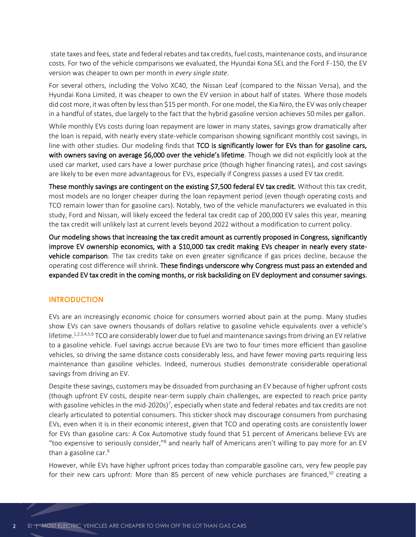state taxes and fees, state and federal rebates and tax credits, fuel costs, maintenance costs, and insurance costs. For two of the vehicle comparisons we evaluated, the Hyundai Kona SEL and the Ford F-150, the EV version was cheaper to own per month in *every single state*.

For several others, including the Volvo XC40, the Nissan Leaf (compared to the Nissan Versa), and the Hyundai Kona Limited, it was cheaper to own the EV version in about half of states. Where those models did cost more, it was often by less than \$15 per month. For one model, the Kia Niro, the EV was only cheaper in a handful of states, due largely to the fact that the hybrid gasoline version achieves 50 miles per gallon.

While monthly EVs costs during loan repayment are lower in many states, savings grow dramatically after the loan is repaid, with nearly every state-vehicle comparison showing significant monthly cost savings, in line with other studies. Our modeling finds that TCO is significantly lower for EVs than for gasoline cars, with owners saving on average \$6,000 over the vehicle's lifetime. Though we did not explicitly look at the used car market, used cars have a lower purchase price (though higher financing rates), and cost savings are likely to be even more advantageous for EVs, especially if Congress passes a used EV tax credit.

These monthly savings are contingent on the existing \$7,500 federal EV tax credit. Without this tax credit, most models are no longer cheaper during the loan repayment period (even though operating costs and TCO remain lower than for gasoline cars). Notably, two of the vehicle manufacturers we evaluated in this study, Ford and Nissan, will likely exceed the federal tax credit cap of 200,000 EV sales this year, meaning the tax credit will unlikely last at current levels beyond 2022 without a modification to current policy.

Our modeling shows that increasing the tax credit amount as currently proposed in Congress, significantly improve EV ownership economics, with a \$10,000 tax credit making EVs cheaper in nearly every statevehicle comparison. The tax credits take on even greater significance if gas prices decline, because the operating cost difference will shrink. These findings underscore why Congress must pass an extended and expanded EV tax credit in the coming months, or risk backsliding on EV deployment and consumer savings.

## **INTRODUCTION**

EVs are an increasingly economic choice for consumers worried about pain at the pump. Many studies show EVs can save owners thousands of dollars relative to gasoline vehicle equivalents over a vehicle's lifetime.<sup>1,2,3,4,5,6</sup> TCO are considerably lower due to fuel and maintenance savings from driving an EV relative to a gasoline vehicle. Fuel savings accrue because EVs are two to four times more efficient than gasoline vehicles, so driving the same distance costs considerably less, and have fewer moving parts requiring less maintenance than gasoline vehicles. Indeed, numerous studies demonstrate considerable operational savings from driving an EV.

Despite these savings, customers may be dissuaded from purchasing an EV because of higher upfront costs (though upfront EV costs, despite near-term supply chain challenges, are expected to reach price parity with gasoline vehicles in the mid-2020s)<sup>7</sup>, especially when state and federal rebates and tax credits are not clearly articulated to potential consumers. This sticker shock may discourage consumers from purchasing EVs, even when it is in their economic interest, given that TCO and operating costs are consistently lower for EVs than gasoline cars: A Cox Automotive study found that 51 percent of Americans believe EVs are "too expensive to seriously consider,"<sup>8</sup> and nearly half of Americans aren't willing to pay more for an EV than a gasoline car. $9$ 

However, while EVs have higher upfront prices today than comparable gasoline cars, very few people pay for their new cars upfront: More than 85 percent of new vehicle purchases are financed,<sup>10</sup> creating a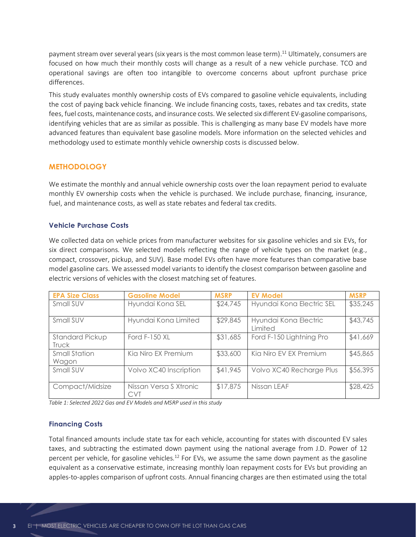payment stream over several years (six years is the most common lease term). <sup>11</sup> Ultimately, consumers are focused on how much their monthly costs will change as a result of a new vehicle purchase. TCO and operational savings are often too intangible to overcome concerns about upfront purchase price differences.

This study evaluates monthly ownership costs of EVs compared to gasoline vehicle equivalents, including the cost of paying back vehicle financing. We include financing costs, taxes, rebates and tax credits, state fees, fuel costs, maintenance costs, and insurance costs. We selected six different EV-gasoline comparisons, identifying vehicles that are as similar as possible. This is challenging as many base EV models have more advanced features than equivalent base gasoline models. More information on the selected vehicles and methodology used to estimate monthly vehicle ownership costs is discussed below.

## **METHODOLOGY**

We estimate the monthly and annual vehicle ownership costs over the loan repayment period to evaluate monthly EV ownership costs when the vehicle is purchased. We include purchase, financing, insurance, fuel, and maintenance costs, as well as state rebates and federal tax credits.

### **Vehicle Purchase Costs**

We collected data on vehicle prices from manufacturer websites for six gasoline vehicles and six EVs, for six direct comparisons. We selected models reflecting the range of vehicle types on the market (e.g., compact, crossover, pickup, and SUV). Base model EVs often have more features than comparative base model gasoline cars. We assessed model variants to identify the closest comparison between gasoline and electric versions of vehicles with the closest matching set of features.

| <b>EPA Size Class</b>         | <b>Gasoline Model</b>                | <b>MSRP</b> | <b>EV Model</b>                  | <b>MSRP</b> |
|-------------------------------|--------------------------------------|-------------|----------------------------------|-------------|
| Small SUV                     | Hyundai Kona SEL                     | \$24,745    | Hyundai Kona Electric SEL        | \$35,245    |
| Small SUV                     | Hyundai Kona Limited                 | \$29,845    | Hyundai Kona Electric<br>Limited | \$43,745    |
| Standard Pickup<br>Truck      | <b>Ford F-150 XL</b>                 | \$31,685    | Ford F-150 Lightning Pro         | \$41,669    |
| <b>Small Station</b><br>Wagon | Kia Niro EX Premium                  | \$33,600    | Kia Niro EV EX Premium           | \$45,865    |
| Small SUV                     | Volvo XC40 Inscription               | \$41,945    | Volvo XC40 Recharge Plus         | \$56,395    |
| Compact/Midsize               | Nissan Versa S Xtronic<br><b>CVT</b> | \$17,875    | Nissan LEAF                      | \$28,425    |

*Table 1: Selected 2022 Gas and EV Models and MSRP used in this study*

#### **Financing Costs**

Total financed amounts include state tax for each vehicle, accounting for states with discounted EV sales taxes, and subtracting the estimated down payment using the national average from J.D. Power of 12 percent per vehicle, for gasoline vehicles.<sup>12</sup> For EVs, we assume the same down payment as the gasoline equivalent as a conservative estimate, increasing monthly loan repayment costs for EVs but providing an apples-to-apples comparison of upfront costs. Annual financing charges are then estimated using the total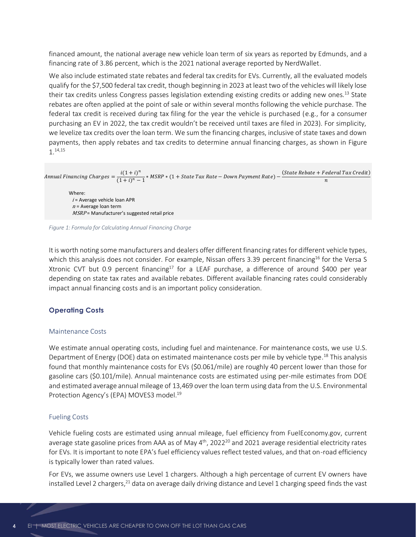financed amount, the national average new vehicle loan term of six years as reported by Edmunds, and a financing rate of 3.86 percent, which is the 2021 national average reported by NerdWallet.

We also include estimated state rebates and federal tax credits for EVs. Currently, all the evaluated models qualify for the \$7,500 federal tax credit, though beginning in 2023 at least two of the vehicles will likely lose their tax credits unless Congress passes legislation extending existing credits or adding new ones.<sup>13</sup> State rebates are often applied at the point of sale or within several months following the vehicle purchase. The federal tax credit is received during tax filing for the year the vehicle is purchased (e.g., for a consumer purchasing an EV in 2022, the tax credit wouldn't be received until taxes are filed in 2023). For simplicity, we levelize tax credits over the loan term. We sum the financing charges, inclusive of state taxes and down payments, then apply rebates and tax credits to determine annual financing charges, as shown in [Figure](#page-3-0)  [1.](#page-3-0) 14,15

Annual Financing Charges  $=$   $\frac{i(1+i)^n}{(1+i)^n}$  $\frac{1}{(1+i)^n-1}$  \* MSRP \* (1 + State Tax Rate – Down Payment Rate) –  $(State \, Rebate + Federal \, Tax \, Credit)$  $\boldsymbol{n}$ 

Where:  $i$  = Average vehicle loan APR  $n =$  Average loan term  $MSRP$  = Manufacturer's suggested retail price

<span id="page-3-0"></span>*Figure 1: Formula for Calculating Annual Financing Charge*

It is worth noting some manufacturers and dealers offer different financing rates for different vehicle types, which this analysis does not consider. For example, Nissan offers 3.39 percent financing<sup>16</sup> for the Versa S Xtronic CVT but 0.9 percent financing<sup>17</sup> for a LEAF purchase, a difference of around \$400 per year depending on state tax rates and available rebates. Different available financing rates could considerably impact annual financing costs and is an important policy consideration.

#### **Operating Costs**

#### Maintenance Costs

We estimate annual operating costs, including fuel and maintenance. For maintenance costs, we use U.S. Department of Energy (DOE) data on estimated maintenance costs per mile by vehicle type.<sup>18</sup> This analysis found that monthly maintenance costs for EVs (\$0.061/mile) are roughly 40 percent lower than those for gasoline cars (\$0.101/mile). Annual maintenance costs are estimated using per-mile estimates from DOE and estimated average annual mileage of 13,469 over the loan term using data from the U.S. Environmental Protection Agency's (EPA) MOVES3 model.<sup>19</sup>

#### Fueling Costs

Vehicle fueling costs are estimated using annual mileage, fuel efficiency from FuelEconomy.gov, current average state gasoline prices from AAA as of May  $4<sup>th</sup>$ , 2022<sup>20</sup> and 2021 average residential electricity rates for EVs. It is important to note EPA's fuel efficiency values reflect tested values, and that on-road efficiency is typically lower than rated values.

For EVs, we assume owners use Level 1 chargers. Although a high percentage of current EV owners have installed Level 2 chargers,<sup>21</sup> data on average daily driving distance and Level 1 charging speed finds the vast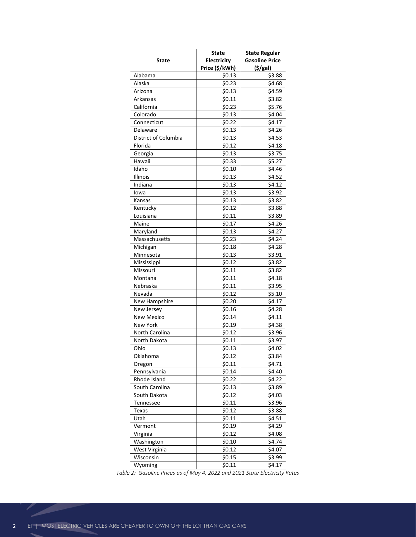|                         | <b>State</b>   | <b>State Regular</b>  |
|-------------------------|----------------|-----------------------|
| <b>State</b>            | Electricity    | <b>Gasoline Price</b> |
|                         | Price (\$/kWh) | (S/gal)               |
| Alabama                 | \$0.13         | \$3.88                |
| Alaska                  | \$0.23         | \$4.68                |
| Arizona                 | \$0.13         | \$4.59                |
| Arkansas                | \$0.11         | \$3.82                |
| California              | \$0.23         | \$5.76                |
|                         | \$0.13         | \$4.04                |
| Colorado<br>Connecticut | \$0.22         | \$4.17                |
|                         |                |                       |
| Delaware                | \$0.13         | \$4.26                |
| District of Columbia    | \$0.13         | \$4.53                |
| Florida                 | \$0.12         | \$4.18                |
| Georgia                 | \$0.13         | \$3.75                |
| Hawaii                  | \$0.33         | \$5.27                |
| Idaho                   | \$0.10         | \$4.46                |
| <b>Illinois</b>         | \$0.13         | \$4.52                |
| Indiana                 | \$0.13         | \$4.12                |
| lowa                    | \$0.13         | \$3.92                |
| Kansas                  | \$0.13         | \$3.82                |
| Kentucky                | \$0.12         | \$3.88                |
| Louisiana               | \$0.11         | \$3.89                |
| Maine                   | \$0.17         | \$4.26                |
| Maryland                | \$0.13         | \$4.27                |
| Massachusetts           | \$0.23         | \$4.24                |
| Michigan                | \$0.18         | \$4.28                |
| Minnesota               | \$0.13         | \$3.91                |
| Mississippi             | \$0.12         | \$3.82                |
| Missouri                | \$0.11         | \$3.82                |
| Montana                 | \$0.11         | \$4.18                |
| Nebraska                | \$0.11         | \$3.95                |
| Nevada                  | \$0.12         | \$5.10                |
| New Hampshire           | \$0.20         | \$4.17                |
| New Jersey              | \$0.16         | \$4.28                |
| <b>New Mexico</b>       |                |                       |
|                         | \$0.14         | \$4.11                |
| New York                | \$0.19         | \$4.38                |
| North Carolina          | \$0.12         | \$3.96                |
| North Dakota            | \$0.11         | \$3.97                |
| Ohio                    | \$0.13         | \$4.02                |
| Oklahoma                | \$0.12         | \$3.84                |
| Oregon                  | \$0.11         | \$4.71                |
| Pennsylvania            | \$0.14         | \$4.40                |
| Rhode Island            | \$0.22         | \$4.22                |
| South Carolina          | \$0.13         | \$3.89                |
| South Dakota            | \$0.12         | \$4.03                |
| Tennessee               | \$0.11         | \$3.96                |
| Texas                   | \$0.12         | \$3.88                |
| Utah                    | \$0.11         | \$4.51                |
| Vermont                 | \$0.19         | \$4.29                |
| Virginia                | \$0.12         | \$4.08                |
| Washington              | \$0.10         | \$4.74                |
| West Virginia           | \$0.12         | \$4.07                |
| Wisconsin               | \$0.15         | \$3.99                |
| Wyoming                 | \$0.11         | \$4.17                |

*Table 2: Gasoline Prices as of May 4, 2022 and 2021 State Electricity Rates*

P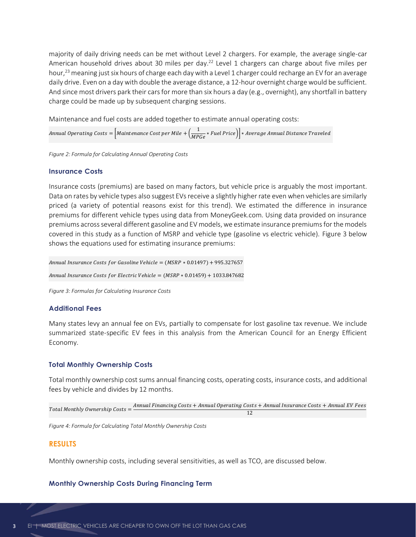majority of daily driving needs can be met without Level 2 chargers. For example, the average single-car American household drives about 30 miles per day.<sup>22</sup> Level 1 chargers can charge about five miles per hour, <sup>23</sup> meaning just six hours of charge each day with a Level 1 charger could recharge an EV for an average daily drive. Even on a day with double the average distance, a 12-hour overnight charge would be sufficient. And since most drivers park their cars for more than six hours a day (e.g., overnight), any shortfall in battery charge could be made up by subsequent charging sessions.

Maintenance and fuel costs are added together to estimate annual operating costs:

Annual Operating Costs =  $\Big[$ Maintenance Cost per Mile +  $\Big(\dfrac{1}{MPGe} * Fuel\,Price\Big)\Big] * Average\, Annual\,Distance\, Travel\,ed$ 

*Figure 2: Formula for Calculating Annual Operating Costs*

#### **Insurance Costs**

Insurance costs (premiums) are based on many factors, but vehicle price is arguably the most important. Data on rates by vehicle types also suggest EVs receive a slightly higher rate even when vehicles are similarly priced (a variety of potential reasons exist for this trend). We estimated the difference in insurance premiums for different vehicle types using data from MoneyGeek.com. Using data provided on insurance premiums across several different gasoline and EV models, we estimate insurance premiums for the models covered in this study as a function of MSRP and vehicle type (gasoline vs electric vehicle). Figure 3 below shows the equations used for estimating insurance premiums:

Annual Insurance Costs for Gasoline Vehicle =  $(MSRP * 0.01497) + 995.327657$ 

Annual Insurance Costs for Electric Vehicle =  $(MSRP * 0.01459) + 1033.847682$ 

*Figure 3: Formulas for Calculating Insurance Costs*

#### **Additional Fees**

Many states levy an annual fee on EVs, partially to compensate for lost gasoline tax revenue. We include summarized state-specific EV fees in this analysis from the American Council for an Energy Efficient Economy.

#### **Total Monthly Ownership Costs**

Total monthly ownership cost sums annual financing costs, operating costs, insurance costs, and additional fees by vehicle and divides by 12 months.

 $Total Monthly \, Ownership \, Costs =$   $Annual \, Financial \, Costs + Annual \, Operating \, Costs + Annual \, Insurance \, Costs + Annual \, EV \, Fees$ 12

*Figure 4: Formula for Calculating Total Monthly Ownership Costs*

#### **RESULTS**

Monthly ownership costs, including several sensitivities, as well as TCO, are discussed below.

#### **Monthly Ownership Costs During Financing Term**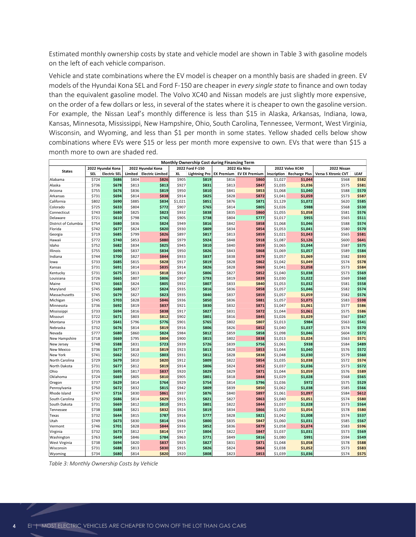Estimated monthly ownership costs by state and vehicle model are shown i[n Table 3](#page-6-0) with gasoline models on the left of each vehicle comparison.

Vehicle and state combinations where the EV model is cheaper on a monthly basis are shaded in green. EV models of the Hyundai Kona SEL and Ford F-150 are cheaper in *every single state* to finance and own today than the equivalent gasoline model. The Volvo XC40 and Nissan models are just slightly more expensive, on the order of a few dollars or less, in several of the states where it is cheaper to own the gasoline version. For example, the Nissan Leaf's monthly difference is less than \$15 in Alaska, Arkansas, Indiana, Iowa, Kansas, Minnesota, Mississippi, New Hampshire, Ohio, South Carolina, Tennessee, Vermont, West Virginia, Wisconsin, and Wyoming, and less than \$1 per month in some states. Yellow shaded cells below show combinations where EVs were \$15 or less per month more expensive to own. EVs that were than \$15 a month more to own are shaded red.

|                                   |                |                     |                |                         |                |                                              |                   |                      |                    |                      | Kalisas, ivininesõta, iviississippi, new Hanipshire, Ohio, South Carolina, Tennessee, Vermont, West Virginia, |                |
|-----------------------------------|----------------|---------------------|----------------|-------------------------|----------------|----------------------------------------------|-------------------|----------------------|--------------------|----------------------|---------------------------------------------------------------------------------------------------------------|----------------|
|                                   |                |                     |                |                         |                |                                              |                   |                      |                    |                      | Wisconsin, and Wyoming, and less than \$1 per month in some states. Yellow shaded cells below show            |                |
|                                   |                |                     |                |                         |                |                                              |                   |                      |                    |                      | combinations where EVs were \$15 or less per month more expensive to own. EVs that were than \$15 a           |                |
| month more to own are shaded red. |                |                     |                |                         |                |                                              |                   |                      |                    |                      |                                                                                                               |                |
|                                   |                |                     |                |                         |                | Monthly Ownership Cost during Financing Term |                   |                      |                    |                      |                                                                                                               |                |
|                                   |                | 2022 Hyundai Kona   |                | 2022 Hyundai Kona       |                | 2022 Ford F-150                              |                   | 2022 Kia Niro        |                    | 2022 Volvo XC40      | 2022 Nissan                                                                                                   |                |
| <b>States</b>                     | SEL            | <b>Electric SEL</b> | Limited        | <b>Electric Limited</b> | XL             | <b>Lightning Pro</b>                         | <b>EX Premium</b> | <b>EV EX Premium</b> | Inscription        | <b>Recharge Plus</b> | Versa S Xtronic CVT                                                                                           | LEAF           |
| Alabama                           | \$724          | \$686               | \$804          | \$826                   | \$905          | \$819                                        | \$816             | \$860                | \$1,027            | \$1,044              | \$568                                                                                                         | \$582          |
| Alaska                            | \$736          | \$678               | \$813          | \$813                   | \$927          | \$831                                        | \$813             | \$847                | \$1,035            | \$1,036              | \$575                                                                                                         | \$581          |
| Arizona                           | \$755          | \$676               | \$836          | \$819                   | \$950          | \$810                                        | \$841             | \$853                | \$1,068            | \$1,040              | \$588                                                                                                         | \$570          |
| Arkansas                          | \$731          | \$694               | \$814          | \$838                   | \$914          | \$825                                        | \$828             | \$872                | \$1,041            | \$1,059              | \$573                                                                                                         | \$587          |
| California                        | \$802          | \$690               | \$885          | \$834                   | \$1,021        | \$851                                        | \$876             | \$871                | \$1,129            | \$1,072              | \$620                                                                                                         | \$585          |
| Colorado                          | \$725          | \$633               | \$804          | \$772                   | \$907          | \$765                                        | \$814             | \$805                | \$1,026            | \$988                | \$568                                                                                                         | \$530          |
| Connecticut                       | \$743          | \$680               | \$825          | \$823                   | \$932          | \$838                                        | \$835             | \$860                | \$1,055            | \$1,058              | \$581                                                                                                         | \$576          |
| Delaware                          | \$721          | \$610               | \$798          | \$745                   | \$905          | \$738                                        | \$804             | \$777                | \$1,017            | \$955                | \$565                                                                                                         | \$511          |
| District of Columbia              | \$754          | \$680               | \$836          | \$824                   | \$949          | \$816                                        | \$842             | \$858                | \$1,068            | \$1,046              | \$588                                                                                                         | \$574          |
| Florida                           | \$742          | \$677               | \$824          | \$820                   | \$930          | \$809                                        | \$834             | \$854                | \$1,053            | \$1,041              | \$580                                                                                                         | \$570          |
| Georgia<br>Hawaii                 | \$719<br>\$772 | \$685<br>\$740      | \$799<br>\$853 | \$826<br>\$880          | \$897<br>\$979 | \$817<br>\$924                               | \$813<br>\$848    | \$859<br>\$918       | \$1,021<br>\$1,087 | \$1,043<br>\$1,126   | \$565<br>\$600                                                                                                | \$581<br>\$641 |
| Idaho                             | \$752          | \$682               | \$834          | \$825                   | \$945          | \$810                                        | \$840             | \$859                | \$1,065            | \$1,044              | \$587                                                                                                         | \$575          |
| Illinois                          | \$755          | \$690               | \$837          | \$834                   | \$950          | \$826                                        | \$843             | \$868                | \$1,069            | \$1,057              | \$589                                                                                                         | \$584          |
| Indiana                           | \$744          | \$700               | \$827          | \$844                   | \$933          | \$837                                        | \$838             | \$879                | \$1,057            | \$1,069              | \$582                                                                                                         | \$593          |
| lowa                              | \$733          | \$685               | \$815          | \$828                   | \$917          | \$819                                        | \$828             | \$862                | \$1,042            | \$1,049              | \$574                                                                                                         | \$578          |
| Kansas                            | \$731          | \$691               | \$814          | \$835                   | \$914          | \$826                                        | \$828             | \$869                | \$1,041            | \$1,058              | \$573                                                                                                         | \$584          |
| Kentucky                          | \$731          | \$675               | \$813          | \$818                   | \$914          | \$806                                        | \$827             | \$852                | \$1,040            | \$1,038              | \$573                                                                                                         | \$569          |
| Louisiana                         | \$726          | \$665               | \$807          | \$806                   | \$907          | \$793                                        | \$819             | \$839                | \$1,030            | \$1,022              | \$569                                                                                                         | \$560          |
| Maine                             | \$743          | \$663               | \$824          | \$805                   | \$932          | \$807                                        | \$833             | \$840                | \$1,053            | \$1,032              | \$581                                                                                                         | \$558          |
| Maryland                          | \$745          | \$680               | \$827          | \$824                   | \$935          | \$816                                        | \$836             | \$858                | \$1,057            | \$1,046              | \$582                                                                                                         | \$574          |
| Massachusetts                     | \$745          | \$679               | \$827          | \$823                   | \$935          | \$840                                        | \$837             | \$859                | \$1,057            | \$1,059              | \$582                                                                                                         | \$576          |
| Michigan                          | \$745          | \$703               | \$828          | \$846                   | \$936          | \$850                                        | \$836             | \$881                | \$1,057            | \$1,075              | \$583                                                                                                         | \$598          |
| Minnesota                         | \$736          | \$692               | \$819          | \$837                   | \$921          | \$830                                        | \$832             | \$871                | \$1,047            | \$1,061              | \$577                                                                                                         | \$586          |
| Mississippi                       | \$733          | \$694               | \$816          | \$838                   | \$917          | \$827                                        | \$831             | \$872                | \$1,044            | \$1,061              | \$575                                                                                                         | \$586          |
| Missouri                          | \$722          | \$671               | \$803          | \$812                   | \$902          | \$801                                        | \$816             | \$845                | \$1,026            | \$1,029              | \$567                                                                                                         | \$567          |
| Montana                           | \$719          | \$641               | \$796          | \$776                   | \$901          | \$765                                        | \$802             | \$807                | \$1,013            | \$984                | \$563                                                                                                         | \$541          |
| Nebraska                          | \$732          | \$676               | \$814          | \$819                   | \$916          | \$806                                        | \$826             | \$852                | \$1,040            | \$1,037              | \$574                                                                                                         | \$570          |
| Nevada                            | \$777          | \$680               | \$860          | \$824                   | \$984          | \$812                                        | \$859             | \$858                | \$1,098            | \$1,046              | \$604                                                                                                         | \$572          |
| New Hampshire                     | \$718          | \$669               | \$795          | \$804                   | \$900          | \$815                                        | \$802             | \$838                | \$1,013            | \$1,024              | \$563                                                                                                         | \$571          |
| New Jersey<br>New Mexico          | \$748          | \$588<br>\$677      | \$831          | \$723<br>\$819          | \$939<br>\$923 | \$726<br>\$813                               | \$839             | \$756<br>\$853       | \$1,061            | \$938                | \$584                                                                                                         | \$489<br>\$572 |
| New York                          | \$736<br>\$741 | \$662               | \$818<br>\$822 | \$803                   | \$931          | \$812                                        | \$828<br>\$828    | \$838                | \$1,044<br>\$1,048 | \$1,040<br>\$1,030   | \$576<br>\$579                                                                                                | \$560          |
| North Carolina                    | \$729          | \$679               | \$810          | \$820                   | \$912          | \$809                                        | \$822             | \$854                | \$1,035            | \$1,038              | \$572                                                                                                         | \$574          |
| North Dakota                      | \$731          | \$677               | \$812          | \$819                   | \$914          | \$806                                        | \$824             | \$852                | \$1,037            | \$1,036              | \$573                                                                                                         | \$572          |
| Ohio                              | \$735          | \$695               | \$817          | \$837                   | \$920          | \$829                                        | \$829             | \$871                | \$1,044            | \$1,059              | \$576                                                                                                         | \$589          |
| Oklahoma                          | \$724          | \$669               | \$805          | \$810                   | \$905          | \$801                                        | \$818             | \$844                | \$1,029            | \$1,028              | \$568                                                                                                         | \$565          |
| Oregon                            | \$737          | \$629               | \$814          | \$764                   | \$929          | \$754                                        | \$814             | \$796                | \$1,036            | \$972                | \$575                                                                                                         | \$529          |
| Pennsylvania                      | \$750          | \$672               | \$832          | \$815                   | \$942          | \$809                                        | \$839             | \$850                | \$1,062            | \$1,038              | \$585                                                                                                         | \$566          |
| Rhode Island                      | \$747          | \$716               | \$830          | \$861                   | \$937          | \$876                                        | \$840             | \$897                | \$1,061            | \$1,097              | \$584                                                                                                         | \$612          |
| South Carolina                    | \$732          | \$686               | \$814          | \$829                   | \$915          | \$821                                        | \$827             | \$863                | \$1,040            | \$1,051              | \$574                                                                                                         | \$580          |
| South Dakota                      | \$731          | \$669               | \$812          | \$810                   | \$915          | \$801                                        | \$822             | \$844                | \$1,037            | \$1,028              | \$573                                                                                                         | \$564          |
| Tennessee                         | \$738          | \$688               | \$821          | \$832                   | \$924          | \$819                                        | \$834             | \$866                | \$1,050            | \$1,054              | \$578                                                                                                         | \$580          |
| Texas                             | \$732          | \$644               | \$815          | \$787                   | \$916          | \$777                                        | \$828             | \$821                | \$1,042            | \$1,008              | \$574                                                                                                         | \$537          |
| Utah                              | \$749          | \$673               | \$830          | \$814                   | \$943          | \$800                                        | \$835             | \$847                | \$1,060            | \$1,031              | \$585                                                                                                         | \$567          |
| Vermont                           | \$746          | \$701               | \$828          | \$844                   | \$936          | \$852                                        | \$836             | \$879                | \$1,058            | \$1,074              | \$583                                                                                                         | \$596          |
| Virginia                          | \$732          | \$673               | \$812          | \$814                   | \$917          | \$804                                        | \$822             | \$847                | \$1,037            | \$1,031              | \$573                                                                                                         | \$569          |
| Washington                        | \$763          | \$649               | \$846          | \$784                   | \$963          | \$771                                        | \$849             | \$816                | \$1,080            | \$991                | \$594                                                                                                         | \$549          |
| West Virginia                     | \$738          | \$694               | \$820          | \$837                   | \$925          | \$827                                        | \$831             | \$871                | \$1,048            | \$1,058              | \$578                                                                                                         | \$588          |
| Wisconsin                         | \$731          | \$688               | \$813          | \$830                   | \$915          | \$826                                        | \$824             | \$864                | \$1,038            | \$1,052              | \$573                                                                                                         | \$583          |
| Wyoming                           | \$734          | \$680               | \$814          | \$820                   | \$920          | \$808                                        | \$823             | \$853                | \$1,039            | \$1,036              | \$574                                                                                                         | \$575          |

<span id="page-6-0"></span>*Table 3: Monthly Ownership Costs by Vehicle*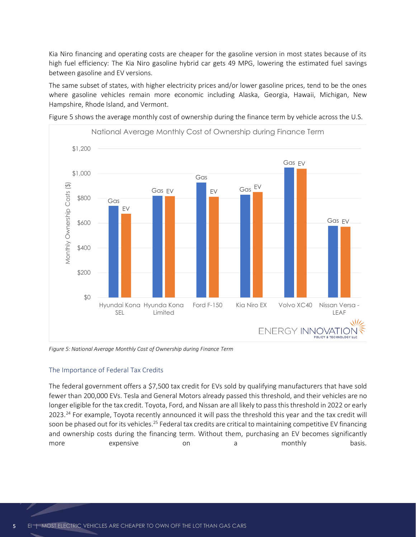Kia Niro financing and operating costs are cheaper for the gasoline version in most states because of its high fuel efficiency: The Kia Niro gasoline hybrid car gets 49 MPG, lowering the estimated fuel savings between gasoline and EV versions.

The same subset of states, with higher electricity prices and/or lower gasoline prices, tend to be the ones where gasoline vehicles remain more economic including Alaska, Georgia, Hawaii, Michigan, New Hampshire, Rhode Island, and Vermont.



[Figure 5](#page-7-0) shows the average monthly cost of ownership during the finance term by vehicle across the U.S.

<span id="page-7-0"></span>*Figure 5: National Average Monthly Cost of Ownership during Finance Term*

#### The Importance of Federal Tax Credits

The federal government offers a \$7,500 tax credit for EVs sold by qualifying manufacturers that have sold fewer than 200,000 EVs. Tesla and General Motors already passed this threshold, and their vehicles are no longer eligible for the tax credit. Toyota, Ford, and Nissan are all likely to pass this threshold in 2022 or early 2023.<sup>24</sup> For example, Toyota recently announced it will pass the threshold this year and the tax credit will soon be phased out for its vehicles.<sup>25</sup> Federal tax credits are critical to maintaining competitive EV financing and ownership costs during the financing term. Without them, purchasing an EV becomes significantly more **expensive** on a monthly basis[.](#page-9-0)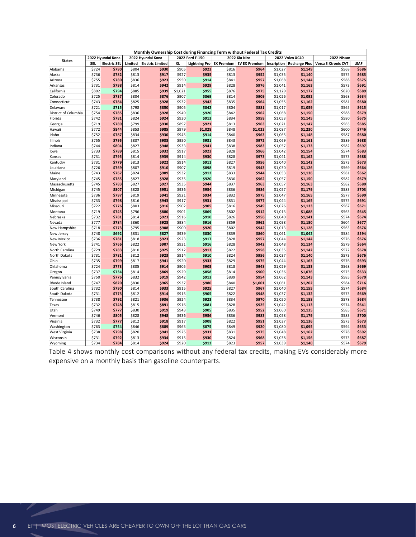|                               |                |                     |                | Monthly Ownership Cost during Financing Term without Federal Tax Credits |                |                      |                   |                      |                    |                      |                     |                |
|-------------------------------|----------------|---------------------|----------------|--------------------------------------------------------------------------|----------------|----------------------|-------------------|----------------------|--------------------|----------------------|---------------------|----------------|
|                               |                | 2022 Hyundai Kona   |                | 2022 Hyundai Kona                                                        |                | 2022 Ford F-150      |                   | 2022 Kia Niro        |                    | 2022 Volvo XC40      | 2022 Nissan         |                |
| <b>States</b>                 | <b>SEL</b>     | <b>Electric SEL</b> | Limited        | <b>Electric Limited</b>                                                  | ΧL             | <b>Lightning Pro</b> | <b>EX Premium</b> | <b>EV EX Premium</b> | Inscription        | <b>Recharge Plus</b> | Versa S Xtronic CVT | LEAF           |
| Alabama                       | \$724          | \$790               | \$804          | \$930                                                                    | \$905          | \$923                | \$816             | \$964                | \$1,027            | \$1,149              | \$568               | \$686          |
| Alaska                        | \$736          | \$782               | \$813          | \$917                                                                    | \$927          | \$935                | \$813             | \$952                | \$1,035            | \$1,140              | \$575               | \$685          |
| Arizona                       | \$755          | \$780               | \$836          | \$923                                                                    | \$950          | \$914                | \$841             | \$957                | \$1,068            | \$1,144              | \$588               | \$675          |
| Arkansas                      | \$731          | \$798               | \$814          | \$942                                                                    | \$914          | \$929                | \$828             | \$976                | \$1,041            | \$1,163              | \$573               | \$691          |
| California                    | \$802          | \$794               | \$885          | \$939                                                                    | \$1,021        | \$955<br>\$869       | \$876             | \$975                | \$1,129            | \$1,177              | \$620               | \$689          |
| Colorado<br>Connecticut       | \$725<br>\$743 | \$737<br>\$784      | \$804<br>\$825 | \$876<br>\$928                                                           | \$907<br>\$932 | \$942                | \$814<br>\$835    | \$909<br>\$964       | \$1,026<br>\$1,055 | \$1,092<br>\$1,162   | \$568<br>\$581      | \$634<br>\$680 |
| Delaware                      | \$721          | \$715               | \$798          | \$850                                                                    | \$905          | \$842                | \$804             | \$881                | \$1,017            | \$1,059              | \$565               | \$615          |
| District of Columbia          | \$754          | \$785               | \$836          | \$928                                                                    | \$949          | \$920                | \$842             | \$962                | \$1,068            | \$1,150              | \$588               | \$679          |
| Florida                       | \$742          | \$781               | \$824          | \$924                                                                    | \$930          | \$913                | \$834             | \$958                | \$1,053            | \$1,145              | \$580               | \$675          |
| Georgia                       | \$719          | \$789               | \$799          | \$930                                                                    | \$897          | \$921                | \$813             | \$963                | \$1,021            | \$1,147              | \$565               | \$685          |
| Hawaii                        | \$772          | \$844               | \$853          | \$985                                                                    | \$979          | \$1,028              | \$848             | \$1,023              | \$1,087            | \$1,230              | \$600               | \$746          |
| Idaho                         | \$752          | \$787               | \$834          | \$930                                                                    | \$945          | \$914                | \$840             | \$963                | \$1,065            | \$1,148              | \$587               | \$680          |
| Illinois                      | \$755          | \$795               | \$837          | \$938                                                                    | \$950          | \$931                | \$843             | \$972                | \$1,069            | \$1,161              | \$589               | \$688          |
| Indiana                       | \$744          | \$804               | \$827          | \$948                                                                    | \$933          | \$941                | \$838             | \$983                | \$1,057            | \$1,173              | \$582               | \$697          |
| lowa                          | \$733          | \$789               | \$815          | \$932                                                                    | \$917          | \$923                | \$828             | \$966                | \$1,042            | \$1,154              | \$574               | \$683          |
| Kansas                        | \$731          | \$795               | \$814          | \$939                                                                    | \$914          | \$930                | \$828             | \$973                | \$1,041            | \$1,162              | \$573               | \$688          |
| Kentucky                      | \$731          | \$779               | \$813          | \$922                                                                    | \$914          | \$911                | \$827             | \$956                | \$1,040            | \$1,142              | \$573               | \$673          |
| Louisiana                     | \$726          | \$769               | \$807          | \$910                                                                    | \$907          | \$898                | \$819             | \$943                | \$1,030            | \$1,126              | \$569               | \$664          |
| Maine                         | \$743<br>\$745 | \$767<br>\$785      | \$824<br>\$827 | \$909<br>\$928                                                           | \$932<br>\$935 | \$912<br>\$920       | \$833<br>\$836    | \$944<br>\$962       | \$1,053<br>\$1,057 | \$1,136              | \$581<br>\$582      | \$662<br>\$679 |
| Maryland<br>Massachusetts     | \$745          | \$783               | \$827          | \$927                                                                    | \$935          | \$944                | \$837             | \$963                | \$1,057            | \$1,150<br>\$1,163   | \$582               | \$680          |
| Michigan                      | \$745          | \$807               | \$828          | \$951                                                                    | \$936          | \$954                | \$836             | \$986                | \$1,057            | \$1,179              | \$583               | \$703          |
| Minnesota                     | \$736          | \$797               | \$819          | \$941                                                                    | \$921          | \$934                | \$832             | \$975                | \$1,047            | \$1,165              | \$577               | \$690          |
| Mississippi                   | \$733          | \$798               | \$816          | \$943                                                                    | \$917          | \$931                | \$831             | \$977                | \$1,044            | \$1,165              | \$575               | \$691          |
| Missouri                      | \$722          | \$776               | \$803          | \$916                                                                    | \$902          | \$905                | \$816             | \$949                | \$1,026            | \$1,133              | \$567               | \$671          |
| Montana                       | \$719          | \$745               | \$796          | \$880                                                                    | \$901          | \$869                | \$802             | \$912                | \$1,013            | \$1,088              | \$563               | \$645          |
| Nebraska                      | \$732          | \$781               | \$814          | \$923                                                                    | \$916          | \$910                | \$826             | \$956                | \$1,040            | \$1,141              | \$574               | \$674          |
| Nevada                        | \$777          | \$784               | \$860          | \$928                                                                    | \$984          | \$916                | \$859             | \$962                | \$1,098            | \$1,150              | \$604               | \$677          |
| New Hampshire                 | \$718          | \$773               | \$795          | \$908                                                                    | \$900          | \$920                | \$802             | \$942                | \$1,013            | \$1,128              | \$563               | \$676          |
| New Jersey                    | \$748          | \$692               | \$831          | \$827                                                                    | \$939          | \$830                | \$839             | \$860                | \$1,061            | \$1,042              | \$584               | \$594          |
| <b>New Mexico</b><br>New York | \$736<br>\$741 | \$781<br>\$766      | \$818<br>\$822 | \$923<br>\$907                                                           | \$923<br>\$931 | \$917<br>\$916       | \$828<br>\$828    | \$957<br>\$942       | \$1,044<br>\$1,048 | \$1,144<br>\$1,134   | \$576<br>\$579      | \$676<br>\$664 |
| North Carolina                | \$729          | \$783               | \$810          | \$925                                                                    | \$912          | \$913                | \$822             | \$958                | \$1,035            | \$1,142              | \$572               | \$678          |
| North Dakota                  | \$731          | \$781               | \$812          | \$923                                                                    | \$914          | \$910                | \$824             | \$956                | \$1,037            | \$1,140              | \$573               | \$676          |
| Ohio                          | \$735          | \$799               | \$817          | \$941                                                                    | \$920          | \$933                | \$829             | \$975                | \$1,044            | \$1,163              | \$576               | \$693          |
| Oklahoma                      | \$724          | \$773               | \$805          | \$914                                                                    | \$905          | \$905                | \$818             | \$948                | \$1,029            | \$1,133              | \$568               | \$669          |
| Oregon                        | \$737          | \$734               | \$814          | \$869                                                                    | \$929          | \$858                | \$814             | \$900                | \$1,036            | \$1,076              | \$575               | \$633          |
| Pennsylvania                  | \$750          | \$776               | \$832          | \$919                                                                    | \$942          | \$913                | \$839             | \$954                | \$1,062            | \$1,143              | \$585               | \$670          |
| Rhode Island                  | \$747          | \$820               | \$830          | \$965                                                                    | \$937          | \$980                | \$840             | \$1,001              | \$1,061            | \$1,202              | \$584               | \$716          |
| South Carolina                | \$732          | \$790               | \$814          | \$933                                                                    | \$915          | \$925                | \$827             | \$967                | \$1,040            | \$1,155              | \$574               | \$684          |
| South Dakota                  | \$731          | \$773               | \$812          | \$914                                                                    | \$915          | \$905                | \$822             | \$948                | \$1,037            | \$1,132              | \$573               | \$669          |
| Tennessee                     | \$738          | \$792               | \$821          | \$936                                                                    | \$924          | \$923                | \$834             | \$970                | \$1,050            | \$1,158              | \$578               | \$684          |
| Texas                         | \$732          | \$748<br>\$777      | \$815          | \$891<br>\$919                                                           | \$916          | \$881<br>\$905       | \$828<br>\$835    | \$925<br>\$952       | \$1,042            | \$1,113              | \$574               | \$641<br>\$671 |
| Utah<br>Vermont               | \$749<br>\$746 | \$805               | \$830<br>\$828 | \$948                                                                    | \$943<br>\$936 | \$956                | \$836             | \$983                | \$1,060<br>\$1,058 | \$1,135<br>\$1,179   | \$585<br>\$583      | \$700          |
| Virginia                      | \$732          | \$777               | \$812          | \$918                                                                    | \$917          | \$908                | \$822             | \$951                | \$1,037            | \$1,136              | \$573               | \$673          |
| Washington                    | \$763          | \$754               | \$846          | \$889                                                                    | \$963          | \$875                | \$849             | \$920                | \$1,080            | \$1,095              | \$594               | \$653          |
| West Virginia                 | \$738          | \$798               | \$820          | \$941                                                                    | \$925          | \$931                | \$831             | \$975                | \$1,048            | \$1,162              | \$578               | \$692          |
| Wisconsin                     | \$731          | \$792               | \$813          | \$934                                                                    | \$915          | \$930                | \$824             | \$968                | \$1,038            | \$1,156              | \$573               | \$687          |
| Wyoming                       | \$734          | \$784               | \$814          | \$924                                                                    | \$920          | \$912                | \$823             | \$957                | \$1,039            | \$1,140              | \$574               | \$679          |

[Table 4](#page-9-0) shows monthly cost comparisons without any federal tax credits, making EVs considerably more expensive on a monthly basis than gasoline counterparts.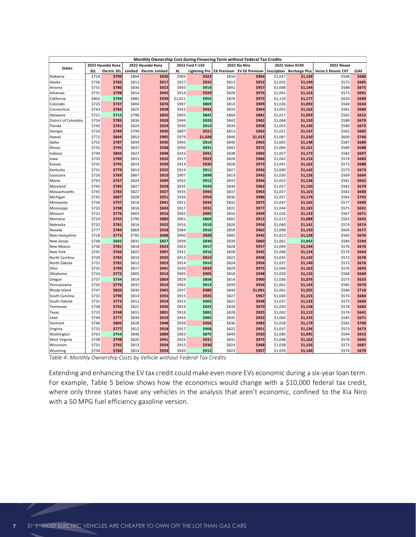<span id="page-9-0"></span>

|                             |                |                     |                | Monthly Ownership Cost during Financing Term without Federal Tax Credits |                |                      |                   |                      |                    |                                |                     |                |  |
|-----------------------------|----------------|---------------------|----------------|--------------------------------------------------------------------------|----------------|----------------------|-------------------|----------------------|--------------------|--------------------------------|---------------------|----------------|--|
|                             |                | 2022 Hyundai Kona   |                | 2022 Hyundai Kona                                                        |                | 2022 Ford F-150      |                   | 2022 Kia Niro        |                    | 2022 Volvo XC40<br>2022 Nissan |                     |                |  |
| <b>States</b>               | SEL            | <b>Electric SEL</b> | Limited        | <b>Electric Limited</b>                                                  | XL             | <b>Lightning Pro</b> | <b>EX Premium</b> | <b>EV EX Premium</b> | Inscription        | <b>Recharge Plus</b>           | Versa S Xtronic CVT | LEAF           |  |
| Alabama                     | \$724          | \$790               | \$804          | \$930                                                                    | \$905          | \$923                | \$816             | \$964                | \$1,027            | \$1,149                        | \$568               | \$686          |  |
| Alaska                      | \$736          | \$782               | \$813          | \$917                                                                    | \$927          | \$935                | \$813             | \$952                | \$1,035            | \$1,140                        | \$575               | \$685          |  |
| Arizona                     | \$755          | \$780               | \$836          | \$923                                                                    | \$950          | \$914                | \$841             | \$957                | \$1,068            | \$1,144                        | \$588               | \$675          |  |
| Arkansas                    | \$731          | \$798               | \$814          | \$942                                                                    | \$914          | \$929                | \$828             | \$976                | \$1,041            | \$1,163                        | \$573               | \$691          |  |
| California                  | \$802          | \$794               | \$885          | \$939                                                                    | \$1,021        | \$955                | \$876             | \$975                | \$1,129            | \$1,177                        | \$620               | \$689          |  |
| Colorado                    | \$725<br>\$743 | \$737               | \$804          | \$876                                                                    | \$907          | \$869                | \$814             | \$909                | \$1,026            | \$1,092                        | \$568               | \$634          |  |
| Connecticut<br>Delaware     | \$721          | \$784<br>\$715      | \$825<br>\$798 | \$928<br>\$850                                                           | \$932<br>\$905 | \$942<br>\$842       | \$835<br>\$804    | \$964<br>\$881       | \$1,055<br>\$1,017 | \$1,162<br>\$1,059             | \$581<br>\$565      | \$680<br>\$615 |  |
| District of Columbia        | \$754          | \$785               | \$836          | \$928                                                                    | \$949          | \$920                | \$842             | \$962                | \$1,068            | \$1,150                        | \$588               | \$679          |  |
| Florida                     | \$742          | \$781               | \$824          | \$924                                                                    | \$930          | \$913                | \$834             | \$958                | \$1,053            | \$1,145                        | \$580               | \$675          |  |
| Georgia                     | \$719          | \$789               | \$799          | \$930                                                                    | \$897          | \$921                | \$813             | \$963                | \$1,021            | \$1,147                        | \$565               | \$685          |  |
| Hawaii                      | \$772          | \$844               | \$853          | \$985                                                                    | \$979          | \$1,028              | \$848             | \$1,023              | \$1,087            | \$1,230                        | \$600               | \$746          |  |
| Idaho                       | \$752          | \$787               | \$834          | \$930                                                                    | \$945          | \$914                | \$840             | \$963                | \$1,065            | \$1,148                        | \$587               | \$680          |  |
| Illinois                    | \$755          | \$795               | \$837          | \$938                                                                    | \$950          | \$931                | \$843             | \$972                | \$1,069            | \$1,161                        | \$589               | \$688          |  |
| Indiana                     | \$744          | \$804               | \$827          | \$948                                                                    | \$933          | \$941                | \$838             | \$983                | \$1,057            | \$1,173                        | \$582               | \$697          |  |
| lowa                        | \$733          | \$789               | \$815          | \$932                                                                    | \$917          | \$923                | \$828             | \$966                | \$1,042            | \$1,154                        | \$574               | \$683          |  |
| Kansas                      | \$731          | \$795               | \$814          | \$939                                                                    | \$914          | \$930                | \$828             | \$973                | \$1,041            | \$1,162                        | \$573               | \$688          |  |
| Kentucky                    | \$731          | \$779               | \$813          | \$922                                                                    | \$914          | \$911                | \$827             | \$956                | \$1,040            | \$1,142                        | \$573               | \$673          |  |
| Louisiana                   | \$726<br>\$743 | \$769<br>\$767      | \$807<br>\$824 | \$910<br>\$909                                                           | \$907<br>\$932 | \$898<br>\$912       | \$819<br>\$833    | \$943<br>\$944       | \$1,030<br>\$1,053 | \$1,126<br>\$1,136             | \$569<br>\$581      | \$664<br>\$662 |  |
| Maine<br>Maryland           | \$745          | \$785               | \$827          | \$928                                                                    | \$935          | \$920                | \$836             | \$962                | \$1,057            | \$1,150                        | \$582               | \$679          |  |
| Massachusetts               | \$745          | \$783               | \$827          | \$927                                                                    | \$935          | \$944                | \$837             | \$963                | \$1,057            | \$1,163                        | \$582               | \$680          |  |
| Michigan                    | \$745          | \$807               | \$828          | \$951                                                                    | \$936          | \$954                | \$836             | \$986                | \$1,057            | \$1,179                        | \$583               | \$703          |  |
| Minnesota                   | \$736          | \$797               | \$819          | \$941                                                                    | \$921          | \$934                | \$832             | \$975                | \$1,047            | \$1,165                        | \$577               | \$690          |  |
| Mississippi                 | \$733          | \$798               | \$816          | \$943                                                                    | \$917          | \$931                | \$831             | \$977                | \$1,044            | \$1,165                        | \$575               | \$691          |  |
| Missouri                    | \$722          | \$776               | \$803          | \$916                                                                    | \$902          | \$905                | \$816             | \$949                | \$1,026            | \$1,133                        | \$567               | \$671          |  |
| Montana                     | \$719          | \$745               | \$796          | \$880                                                                    | \$901          | \$869                | \$802             | \$912                | \$1,013            | \$1,088                        | \$563               | \$645          |  |
| Nebraska                    | \$732          | \$781               | \$814          | \$923                                                                    | \$916          | \$910                | \$826             | \$956                | \$1,040            | \$1,141                        | \$574               | \$674          |  |
| Nevada                      | \$777          | \$784               | \$860          | \$928                                                                    | \$984          | \$916                | \$859             | \$962                | \$1,098            | \$1,150                        | \$604               | \$677          |  |
| New Hampshire<br>New Jersey | \$718<br>\$748 | \$773<br>\$692      | \$795<br>\$831 | \$908<br>\$827                                                           | \$900<br>\$939 | \$920<br>\$830       | \$802<br>\$839    | \$942<br>\$860       | \$1,013<br>\$1,061 | \$1,128<br>\$1,042             | \$563<br>\$584      | \$676<br>\$594 |  |
| <b>New Mexico</b>           | \$736          | \$781               | \$818          | \$923                                                                    | \$923          | \$917                | \$828             | \$957                | \$1,044            | \$1,144                        | \$576               | \$676          |  |
| New York                    | \$741          | \$766               | \$822          | \$907                                                                    | \$931          | \$916                | \$828             | \$942                | \$1,048            | \$1,134                        | \$579               | \$664          |  |
| North Carolina              | \$729          | \$783               | \$810          | \$925                                                                    | \$912          | \$913                | \$822             | \$958                | \$1,035            | \$1,142                        | \$572               | \$678          |  |
| North Dakota                | \$731          | \$781               | \$812          | \$923                                                                    | \$914          | \$910                | \$824             | \$956                | \$1,037            | \$1,140                        | \$573               | \$676          |  |
| Ohio                        | \$735          | \$799               | \$817          | \$941                                                                    | \$920          | \$933                | \$829             | \$975                | \$1,044            | \$1,163                        | \$576               | \$693          |  |
| Oklahoma                    | \$724          | \$773               | \$805          | \$914                                                                    | \$905          | \$905                | \$818             | \$948                | \$1,029            | \$1,133                        | \$568               | \$669          |  |
| Oregon                      | \$737          | \$734               | \$814          | \$869                                                                    | \$929          | \$858                | \$814             | \$900                | \$1,036            | \$1,076                        | \$575               | \$633          |  |
| Pennsylvania                | \$750          | \$776               | \$832          | \$919                                                                    | \$942          | \$913                | \$839             | \$954                | \$1,062            | \$1,143                        | \$585               | \$670          |  |
| Rhode Island                | \$747          | \$820               | \$830          | \$965                                                                    | \$937          | \$980                | \$840             | \$1,001              | \$1,061            | \$1,202                        | \$584               | \$716          |  |
| South Carolina              | \$732          | \$790               | \$814          | \$933                                                                    | \$915          | \$925                | \$827             | \$967                | \$1,040            | \$1,155                        | \$574               | \$684          |  |
| South Dakota                | \$731<br>\$738 | \$773<br>\$792      | \$812<br>\$821 | \$914<br>\$936                                                           | \$915<br>\$924 | \$905<br>\$923       | \$822<br>\$834    | \$948<br>\$970       | \$1,037<br>\$1,050 | \$1,132<br>\$1,158             | \$573<br>\$578      | \$669<br>\$684 |  |
| Tennessee<br>Texas          | \$732          | \$748               | \$815          | \$891                                                                    | \$916          | \$881                | \$828             | \$925                | \$1,042            | \$1,113                        | \$574               | \$641          |  |
| Utah                        | \$749          | \$777               | \$830          | \$919                                                                    | \$943          | \$905                | \$835             | \$952                | \$1,060            | \$1,135                        | \$585               | \$671          |  |
| Vermont                     | \$746          | \$805               | \$828          | \$948                                                                    | \$936          | \$956                | \$836             | \$983                | \$1,058            | \$1,179                        | \$583               | \$700          |  |
| Virginia                    | \$732          | \$777               | \$812          | \$918                                                                    | \$917          | \$908                | \$822             | \$951                | \$1,037            | \$1,136                        | \$573               | \$673          |  |
| Washington                  | \$763          | \$754               | \$846          | \$889                                                                    | \$963          | \$875                | \$849             | \$920                | \$1,080            | \$1,095                        | \$594               | \$653          |  |
| West Virginia               | \$738          | \$798               | \$820          | \$941                                                                    | \$925          | \$931                | \$831             | \$975                | \$1,048            | \$1,162                        | \$578               | \$692          |  |
| Wisconsin                   | \$731          | \$792               | \$813          | \$934                                                                    | \$915          | \$930                | \$824             | \$968                | \$1,038            | \$1,156                        | \$573               | \$687          |  |
| Wyoming                     | \$734          | \$784               | \$814          | \$924                                                                    | \$920          | \$912                | \$823             | \$957                | \$1,039            | \$1,140                        | \$574               | \$679          |  |

*Table 4: Monthly Ownership Costs by Vehicle without Federal Tax Credits*

Extending and enhancing the EV tax credit could make even more EVs economic during a six-year loan term. For example, [Table 5](#page-10-0) below shows how the economics would change with a \$10,000 federal tax credit, where only three states have any vehicles in the analysis that aren't economic, confined to the Kia Niro with a 50 MPG fuel efficiency gasoline version.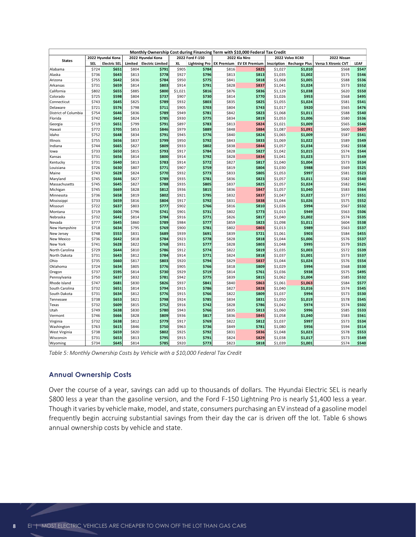|                                |                |                     |                | Monthly Ownership Cost during Financing Term with \$10,000 Federal Tax Credit |                  |                      |                   |                      |                    |                      |                     |                |
|--------------------------------|----------------|---------------------|----------------|-------------------------------------------------------------------------------|------------------|----------------------|-------------------|----------------------|--------------------|----------------------|---------------------|----------------|
| <b>States</b>                  |                | 2022 Hyundai Kona   |                | 2022 Hyundai Kona                                                             |                  | 2022 Ford F-150      |                   | 2022 Kia Niro        |                    | 2022 Volvo XC40      | 2022 Nissan         |                |
|                                | SEL            | <b>Electric SEL</b> | Limited        | <b>Electric Limited</b>                                                       | XL               | <b>Lightning Pro</b> | <b>EX Premium</b> | <b>EV EX Premium</b> | <b>Inscription</b> | <b>Recharge Plus</b> | Versa S Xtronic CVT | LEAF           |
| Alabama                        | \$724          | \$651               | \$804          | \$791                                                                         | \$905            | \$784                | \$816             | \$825                | \$1,027            | \$1,010              | \$568               | \$547          |
| Alaska                         | \$736          | \$643               | \$813          | \$778                                                                         | \$927            | \$796                | \$813             | \$813                | \$1,035            | \$1,002              | \$575               | \$546          |
| Arizona                        | \$755          | \$642               | \$836          | \$784                                                                         | \$950            | \$775                | \$841             | \$818                | \$1,068            | \$1,005              | \$588               | \$536          |
| Arkansas                       | \$731          | \$659               | \$814          | \$803                                                                         | \$914            | \$791                | \$828             | \$837                | \$1,041            | \$1,024              | \$573               | \$552          |
| California<br>Colorado         | \$802<br>\$725 | \$655<br>\$598      | \$885<br>\$804 | \$800<br>\$737                                                                | \$1,021<br>\$907 | \$816<br>\$730       | \$876<br>\$814    | \$836<br>\$770       | \$1,129<br>\$1,026 | \$1,038<br>\$953     | \$620<br>\$568      | \$550<br>\$495 |
| Connecticut                    | \$743          | \$645               | \$825          | \$789                                                                         | \$932            | \$803                | \$835             | \$825                | \$1,055            | \$1,024              | \$581               | \$541          |
| Delaware                       | \$721          | \$576               | \$798          | \$711                                                                         | \$905            | \$703                | \$804             | \$743                | \$1,017            | \$920                | \$565               | \$476          |
| District of Columbia           | \$754          | \$646               | \$836          | \$789                                                                         | \$949            | \$781                | \$842             | \$823                | \$1,068            | \$1,011              | \$588               | \$540          |
| Florida                        | \$742          | \$642               | \$824          | \$785                                                                         | \$930            | \$775                | \$834             | \$819                | \$1,053            | \$1,006              | \$580               | \$536          |
| Georgia                        | \$719          | \$651               | \$799          | \$791                                                                         | \$897            | \$783                | \$813             | \$824                | \$1,021            | \$1,009              | \$565               | \$546          |
| Hawaii                         | \$772          | \$705               | \$853          | \$846                                                                         | \$979            | \$889                | \$848             | \$884                | \$1,087            | \$1,091              | \$600               | \$607          |
| Idaho                          | \$752          | \$648               | \$834          | \$791                                                                         | \$945            | \$776                | \$840             | \$824                | \$1,065            | \$1,009              | \$587               | \$541          |
| Illinois                       | \$755          | \$656               | \$837          | \$799                                                                         | \$950            | \$792                | \$843             | \$833                | \$1,069            | \$1,022              | \$589               | \$549          |
| Indiana                        | \$744          | \$665               | \$827          | \$809                                                                         | \$933            | \$802                | \$838             | \$844                | \$1,057            | \$1,034              | \$582               | \$558          |
| lowa                           | \$733          | \$650               | \$815          | \$793                                                                         | \$917            | \$784                | \$828             | \$827                | \$1,042            | \$1,015              | \$574               | \$544          |
| Kansas                         | \$731          | \$656               | \$814          | \$800                                                                         | \$914            | \$792                | \$828             | \$834                | \$1,041            | \$1,023              | \$573               | \$549          |
| Kentucky                       | \$731          | \$640               | \$813          | \$783                                                                         | \$914            | \$772                | \$827             | \$817                | \$1,040            | \$1,004              | \$573               | \$534          |
| Louisiana                      | \$726          | \$630               | \$807          | \$771                                                                         | \$907            | \$759                | \$819             | \$804                | \$1,030            | \$988                | \$569               | \$525          |
| Maine                          | \$743          | \$628               | \$824          | \$770<br>\$789                                                                | \$932            | \$773                | \$833             | \$805<br>\$823       | \$1,053            | \$997                | \$581               | \$523<br>\$540 |
| Maryland<br>Massachusetts      | \$745<br>\$745 | \$646<br>\$645      | \$827<br>\$827 | \$788                                                                         | \$935<br>\$935   | \$781<br>\$805       | \$836<br>\$837    | \$825                | \$1,057<br>\$1,057 | \$1,011<br>\$1,024   | \$582<br>\$582      | \$541          |
| Michigan                       | \$745          | \$669               | \$828          | \$812                                                                         | \$936            | \$815                | \$836             | \$847                | \$1,057            | \$1,040              | \$583               | \$564          |
| Minnesota                      | \$736          | \$658               | \$819          | \$802                                                                         | \$921            | \$795                | \$832             | \$837                | \$1,047            | \$1,027              | \$577               | \$551          |
| Mississippi                    | \$733          | \$659               | \$816          | \$804                                                                         | \$917            | \$792                | \$831             | \$838                | \$1,044            | \$1,026              | \$575               | \$552          |
| Missouri                       | \$722          | \$637               | \$803          | \$777                                                                         | \$902            | \$766                | \$816             | \$810                | \$1,026            | \$994                | \$567               | \$532          |
| Montana                        | \$719          | \$606               | \$796          | \$741                                                                         | \$901            | \$731                | \$802             | \$773                | \$1,013            | \$949                | \$563               | \$506          |
| Nebraska                       | \$732          | \$642               | \$814          | \$784                                                                         | \$916            | \$771                | \$826             | \$817                | \$1,040            | \$1,002              | \$574               | \$535          |
| Nevada                         | \$777          | \$645               | \$860          | \$789                                                                         | \$984            | \$777                | \$859             | \$823                | \$1,098            | \$1,011              | \$604               | \$538          |
| New Hampshire                  | \$718          | \$634               | \$795          | \$769                                                                         | \$900            | \$781                | \$802             | \$803                | \$1,013            | \$989                | \$563               | \$537          |
| New Jersey                     | \$748          | \$553               | \$831          | \$689                                                                         | \$939            | \$691                | \$839             | \$721                | \$1,061            | \$903                | \$584               | \$455          |
| New Mexico                     | \$736          | \$642               | \$818          | \$784                                                                         | \$923            | \$778                | \$828             | \$818                | \$1,044            | \$1,006              | \$576               | \$537          |
| New York                       | \$741          | \$628               | \$822          | \$768                                                                         | \$931            | \$777                | \$828             | \$803                | \$1,048            | \$995                | \$579               | \$525          |
| North Carolina<br>North Dakota | \$729<br>\$731 | \$644<br>\$643      | \$810<br>\$812 | \$786<br>\$784                                                                | \$912<br>\$914   | \$774<br>\$771       | \$822<br>\$824    | \$819<br>\$818       | \$1,035<br>\$1,037 | \$1,003<br>\$1,001   | \$572<br>\$573      | \$539<br>\$537 |
| Ohio                           | \$735          | \$660               | \$817          | \$803                                                                         | \$920            | \$794                | \$829             | \$837                | \$1,044            | \$1,024              | \$576               | \$554          |
| Oklahoma                       | \$724          | \$634               | \$805          | \$776                                                                         | \$905            | \$766                | \$818             | \$809                | \$1,029            | \$994                | \$568               | \$530          |
| Oregon                         | \$737          | \$595               | \$814          | \$730                                                                         | \$929            | \$719                | \$814             | \$761                | \$1,036            | \$938                | \$575               | \$495          |
| Pennsylvania                   | \$750          | \$637               | \$832          | \$781                                                                         | \$942            | \$775                | \$839             | \$815                | \$1,062            | \$1,004              | \$585               | \$532          |
| Rhode Island                   | \$747          | \$681               | \$830          | \$826                                                                         | \$937            | \$841                | \$840             | \$863                | \$1,061            | \$1,063              | \$584               | \$577          |
| South Carolina                 | \$732          | \$651               | \$814          | \$794                                                                         | \$915            | \$786                | \$827             | \$828                | \$1,040            | \$1,016              | \$574               | \$545          |
| South Dakota                   | \$731          | \$634               | \$812          | \$776                                                                         | \$915            | \$766                | \$822             | \$809                | \$1,037            | \$994                | \$573               | \$530          |
| Tennessee                      | \$738          | \$653               | \$821          | \$798                                                                         | \$924            | \$785                | \$834             | \$831                | \$1,050            | \$1,019              | \$578               | \$545          |
| Texas                          | \$732          | \$609               | \$815          | \$752                                                                         | \$916            | \$742                | \$828             | \$786                | \$1,042            | \$974                | \$574               | \$502          |
| Utah                           | \$749          | \$638               | \$830          | \$780                                                                         | \$943            | \$766                | \$835             | \$813                | \$1,060            | \$996                | \$585               | \$533          |
| Vermont                        | \$746          | \$666               | \$828          | \$809                                                                         | \$936            | \$817                | \$836             | \$845                | \$1,058            | \$1,040              | \$583               | \$561          |
| Virginia                       | \$732          | \$638               | \$812          | \$779                                                                         | \$917            | \$769                | \$822             | \$812                | \$1,037            | \$997                | \$573               | \$534          |
| Washington<br>West Virginia    | \$763<br>\$738 | \$615<br>\$659      | \$846<br>\$820 | \$750<br>\$802                                                                | \$963<br>\$925   | \$736<br>\$792       | \$849<br>\$831    | \$781<br>\$836       | \$1,080<br>\$1,048 | \$956<br>\$1,023     | \$594<br>\$578      | \$514<br>\$553 |
| Wisconsin                      | \$731          | \$653               | \$813          | \$795                                                                         | \$915            | \$791                | \$824             | \$829                | \$1,038            | \$1,017              | \$573               | \$549          |
| Wyoming                        | \$734          | \$645               | \$814          | \$785                                                                         | \$920            | \$773                | \$823             | \$818                | \$1,039            | \$1,001              | \$574               | \$540          |

<span id="page-10-0"></span>*Table 5: Monthly Ownership Costs by Vehicle with a \$10,000 Federal Tax Credit*

#### **Annual Ownership Costs**

Over the course of a year, savings can add up to thousands of dollars. The Hyundai Electric SEL is nearly \$800 less a year than the gasoline version, and the Ford F-150 Lightning Pro is nearly \$1,400 less a year. Though it varies by vehicle make, model, and state, consumers purchasing an EV instead of a gasoline model frequently begin accruing substantial savings from their day the car is driven off the lot. [Table 6](#page-11-0) shows annual ownership costs by vehicle and state.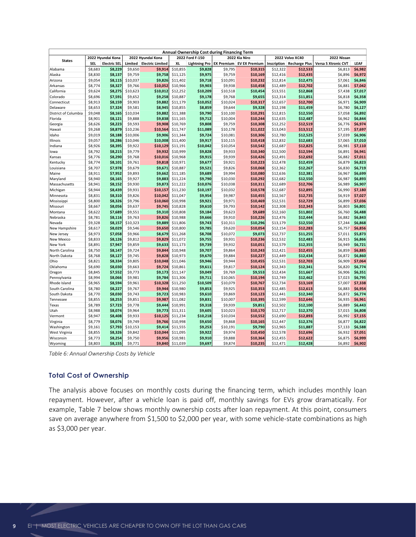|                             |                                        |                     |                     |                         |                      | Annual Ownership Cost during Financing Term |                     |                      |                      |                      |                     |                    |
|-----------------------------|----------------------------------------|---------------------|---------------------|-------------------------|----------------------|---------------------------------------------|---------------------|----------------------|----------------------|----------------------|---------------------|--------------------|
| <b>States</b>               | 2022 Hyundai Kona<br>2022 Hyundai Kona |                     |                     |                         | 2022 Ford F-150      |                                             | 2022 Kia Niro       |                      | 2022 Volvo XC40      | 2022 Nissan          |                     |                    |
|                             | <b>SEL</b>                             | <b>Electric SEL</b> | Limited             | <b>Electric Limited</b> | <b>XL</b>            | <b>Lightning Pro</b>                        | <b>EX Premium</b>   | <b>EV EX Premium</b> | <b>Inscription</b>   | <b>Recharge Plus</b> | Versa S Xtronic CVT | LEAF               |
| Alabama                     | \$8,683                                | \$8,229             | \$9,650             | \$9,914                 | \$10,855             | \$9,828                                     | \$9,795             | \$10,315             | \$12,322             | \$12,533             | \$6,813             | \$6,982            |
| Alaska                      | \$8,830                                | \$8,137             | \$9,759             | \$9,758                 | \$11,125             | \$9,975                                     | \$9,759             | \$10,169             | \$12,416             | \$12,435             | \$6,896             | \$6,972            |
| Arizona                     | \$9,054                                | \$8,115             | \$10,037            | \$9,826                 | \$11,402             | \$9,718                                     | \$10,091            | \$10,232             | \$12,814             | \$12,475             | \$7,061             | \$6,846            |
| Arkansas<br>California      | \$8,774<br>\$9,624                     | \$8,327<br>\$8,275  | \$9,766<br>\$10,623 | \$10,052<br>\$10,012    | \$10,966<br>\$12,252 | \$9,903<br>\$10,209                         | \$9,938<br>\$10,518 | \$10,458<br>\$10,454 | \$12,489<br>\$13,551 | \$12,702<br>\$12,868 | \$6,881<br>\$7,438  | \$7,042<br>\$7,017 |
| Colorado                    | \$8,696                                | \$7,591             | \$9,652             | \$9,258                 | \$10,887             | \$9,178                                     | \$9,768             | \$9,655              | \$12,314             | \$11,851             | \$6,818             | \$6,358            |
| Connecticut                 | \$8,913                                | \$8,159             | \$9,903             | \$9,882                 | \$11,179             | \$10,052                                    | \$10,024            | \$10,317             | \$12,657             | \$12,700             | \$6,971             | \$6,909            |
| Delaware                    | \$8,653                                | \$7,324             | \$9,581             | \$8,945                 | \$10,855             | \$8,859                                     | \$9,644             | \$9,328              | \$12,198             | \$11,459             | \$6,780             | \$6,127            |
| District of Columbia        | \$9,048                                | \$8,165             | \$10,034            | \$9,882                 | \$11,388             | \$9,790                                     | \$10,100            | \$10,291             | \$12,815             | \$12,550             | \$7,058             | \$6,892            |
| Florida                     | \$8,901                                | \$8,121             | \$9,888             | \$9,838                 | \$11,165             | \$9,712                                     | \$10,004            | \$10,244             | \$12,635             | \$12,487             | \$6,962             | \$6,844            |
| Georgia                     | \$8,626                                | \$8,223             | \$9,593             | \$9,908                 | \$10,769             | \$9,808                                     | \$9,759             | \$10,308             | \$12,252             | \$12,519             | \$6,776             | \$6,974            |
| Hawaii                      | \$9,268                                | \$8,879             | \$10,236            | \$10,564                | \$11,747             | \$11,089                                    | \$10,178            | \$11,022             | \$13,043             | \$13,512             | \$7,195             | \$7,697            |
| Idaho                       | \$9,019                                | \$8,188             | \$10,006            | \$9,906                 | \$11,344             | \$9,724                                     | \$10,081            | \$10,306             | \$12,780             | \$12,525             | \$7,039             | \$6,906            |
| Illinois                    | \$9,057                                | \$8,286             | \$10,046            | \$10,008                | \$11,400             | \$9,917                                     | \$10,115            | \$10,418             | \$12,832             | \$12,683             | \$7,065             | \$7,010            |
| Indiana                     | \$8,926                                | \$8,395             | \$9,922             | \$10,129                | \$11,191             | \$10,042                                    | \$10,054            | \$10,542             | \$12,687             | \$12,825             | \$6,981             | \$7,110            |
| lowa                        | \$8,792                                | \$8,215             | \$9,779             | \$9,932                 | \$10,999             | \$9,828                                     | \$9,933             | \$10,340             | \$12,500             | \$12,594             | \$6,891             | \$6,941            |
| Kansas                      | \$8,776                                | \$8,290             | \$9,768             | \$10,016                | \$10,968             | \$9,915                                     | \$9,939             | \$10,426             | \$12,491             | \$12,692             | \$6,882             | \$7,011            |
| Kentucky                    | \$8,774                                | \$8,101             | \$9,761             | \$9,818                 | \$10,971             | \$9,677                                     | \$9,921             | \$10,223             | \$12,478             | \$12,459             | \$6,879             | \$6,823            |
| Louisiana                   | \$8,707<br>\$8,911                     | \$7,978<br>\$7,952  | \$9,679<br>\$9,893  | \$9,671<br>\$9,662      | \$10,887<br>\$11,185 | \$9,521<br>\$9,689                          | \$9,826<br>\$9,994  | \$10,068<br>\$10,080 | \$12,362             | \$12,267<br>\$12,381 | \$6,830             | \$6,719<br>\$6,699 |
| Maine<br>Maryland           | \$8,940                                | \$8,165             | \$9,927             | \$9,883                 | \$11,224             | \$9,790                                     | \$10,030            | \$10,292             | \$12,636<br>\$12,682 | \$12,550             | \$6,967<br>\$6,987  | \$6,893            |
| Massachusetts               | \$8,941                                | \$8,152             | \$9,930             | \$9,873                 | \$11,222             | \$10,076                                    | \$10,038            | \$10,311             | \$12,689             | \$12,706             | \$6,989             | \$6,907            |
| Michigan                    | \$8,944                                | \$8,439             | \$9,931             | \$10,157                | \$11,230             | \$10,197                                    | \$10,032            | \$10,578             | \$12,687             | \$12,895             | \$6,990             | \$7,180            |
| Minnesota                   | \$8,831                                | \$8,310             | \$9,826             | \$10,042                | \$11,047             | \$9,954                                     | \$9,987             | \$10,455             | \$12,567             | \$12,735             | \$6,919             | \$7,027            |
| Mississippi                 | \$8,800                                | \$8,326             | \$9,796             | \$10,060                | \$10,998             | \$9,921                                     | \$9,971             | \$10,469             | \$12,531             | \$12,729             | \$6,899             | \$7,036            |
| Missouri                    | \$8,667                                | \$8,056             | \$9,637             | \$9,745                 | \$10,828             | \$9,610                                     | \$9,793             | \$10,142             | \$12,308             | \$12,343             | \$6,803             | \$6,801            |
| Montana                     | \$8,622                                | \$7,689             | \$9,551             | \$9,310                 | \$10,808             | \$9,184                                     | \$9,623             | \$9,689              | \$12,160             | \$11,802             | \$6,760             | \$6,488            |
| Nebraska                    | \$8,781                                | \$8,116             | \$9,763             | \$9,826                 | \$10,988             | \$9,666                                     | \$9,910             | \$10,226             | \$12,476             | \$12,444             | \$6,882             | \$6,843            |
| Nevada                      | \$9,328                                | \$8,157             | \$10,323            | \$9,889                 | \$11,806             | \$9,743                                     | \$10,311            | \$10,296             | \$13,179             | \$12,550             | \$7,244             | \$6,868            |
| New Hampshire               | \$8,617                                | \$8,029             | \$9,546             | \$9,650                 | \$10,800             | \$9,785                                     | \$9,620             | \$10,054             | \$12,154             | \$12,283             | \$6,757             | \$6,856            |
| New Jersey                  | \$8,973                                | \$7,058             | \$9,966             | \$8,679                 | \$11,268             | \$8,708                                     | \$10,072            | \$9,073              | \$12,737             | \$11,255             | \$7,011             | \$5,873            |
| New Mexico                  | \$8,833                                | \$8,126             | \$9,812             | \$9,829                 | \$11,072             | \$9,755                                     | \$9,931             | \$10,236             | \$12,532             | \$12,483             | \$6,915             | \$6,866            |
| New York<br>North Carolina  | \$8,891<br>\$8,750                     | \$7,947<br>\$8,147  | \$9,859<br>\$9,724  | \$9,633<br>\$9,844      | \$11,173<br>\$10,948 | \$9,739<br>\$9,707                          | \$9,932<br>\$9,864  | \$10,051<br>\$10,243 | \$12,579<br>\$12,421 | \$12,355<br>\$12,455 | \$6,949<br>\$6,859  | \$6,721<br>\$6,885 |
| North Dakota                | \$8,768                                | \$8,127             | \$9,745             | \$9,828                 | \$10,973             | \$9,670                                     | \$9,884             | \$10,227             | \$12,449             | \$12,434             | \$6,872             | \$6,860            |
| Ohio                        | \$8,821                                | \$8,334             | \$9,805             | \$10,048                | \$11,046             | \$9,946                                     | \$9,944             | \$10,455             | \$12,531             | \$12,703             | \$6,909             | \$7,064            |
| Oklahoma                    | \$8,690                                | \$8,030             | \$9,663             | \$9,724                 | \$10,861             | \$9,611                                     | \$9,817             | \$10,124             | \$12,343             | \$12,341             | \$6,820             | \$6,774            |
| Oregon                      | \$8,845                                | \$7,552             | \$9,773             | \$9,173                 | \$11,147             | \$9,049                                     | \$9,769             | \$9,553              | \$12,434             | \$11,667             | \$6,906             | \$6,351            |
| Pennsylvania                | \$8,994                                | \$8,066             | \$9,981             | \$9,784                 | \$11,306             | \$9,711                                     | \$10,065            | \$10,194             | \$12,749             | \$12,462             | \$7,023             | \$6,795            |
| Rhode Island                | \$8,965                                | \$8,594             | \$9,961             | \$10,328                | \$11,250             | \$10,509                                    | \$10,079            | \$10,767             | \$12,734             | \$13,169             | \$7,007             | \$7,338            |
| South Carolina              | \$8,780                                | \$8,227             | \$9,767             | \$9,944                 | \$10,980             | \$9,853                                     | \$9,925             | \$10,353             | \$12,485             | \$12,613             | \$6,883             | \$6,954            |
| South Dakota                | \$8,770                                | \$8,030             | \$9,743             | \$9,723                 | \$10,983             | \$9,610                                     | \$9,869             | \$10,123             | \$12,441             | \$12,340             | \$6,872             | \$6,774            |
| Tennessee                   | \$8,855                                | \$8,253             | \$9,851             | \$9,987                 | \$11,082             | \$9,831                                     | \$10,007            | \$10,395             | \$12,599             | \$12,646             | \$6,935             | \$6,961            |
| Texas                       | \$8,789                                | \$7,723             | \$9,778             | \$9,444                 | \$10,991             | \$9,318                                     | \$9,939             | \$9,851              | \$12,502             | \$12,100             | \$6,889             | \$6,443            |
| Utah                        | \$8,988                                | \$8,074             | \$9,964             | \$9,773                 | \$11,311             | \$9,605                                     | \$10,023            | \$10,170             | \$12,717             | \$12,370             | \$7,015             | \$6,808            |
| Vermont                     | \$8,947                                | \$8,408             | \$9,933             | \$10,125                | \$11,234             | \$10,218                                    | \$10,034            | \$10,552             | \$12,690             | \$12,893             | \$6,992             | \$7,155            |
| Virginia                    | \$8,779                                | \$8,076             | \$9,749<br>\$10,153 | \$9,766<br>\$9,414      | \$10,998             | \$9,650                                     | \$9,868<br>\$10,191 | \$10,165<br>\$9,790  | \$12,447<br>\$12,965 | \$12,376             | \$6,877<br>\$7,133  | \$6,822<br>\$6,588 |
| Washington<br>West Virginia | \$9,161<br>\$8,855                     | \$7,793<br>\$8,326  | \$9,842             | \$10,044                | \$11,555<br>\$11,095 | \$9,253<br>\$9,922                          | \$9,974             | \$10,450             | \$12,578             | \$11,887<br>\$12,696 | \$6,932             | \$7,051            |
| Wisconsin                   | \$8,773                                | \$8,254             | \$9,750             | \$9,956                 | \$10,981             | \$9,910                                     | \$9,888             | \$10,364             | \$12,455             | \$12,622             | \$6,875             | \$6,999            |
| Wyoming                     | \$8,803                                | \$8,155             | \$9,771             | \$9,840                 | \$11,039             | \$9,697                                     | \$9,874             | \$10,235             | \$12,471             | \$12,428             | \$6,892             | \$6,902            |

<span id="page-11-0"></span>*Table 6: Annual Ownership Costs by Vehicle*

#### **Total Cost of Ownership**

The analysis above focuses on monthly costs during the financing term, which includes monthly loan repayment. However, after a vehicle loan is paid off, monthly savings for EVs grow dramatically. For example, [Table 7](#page-12-0) below shows monthly ownership costs after loan repayment. At this point, consumers save on average anywhere from \$1,500 to \$2,000 per year, with some vehicle-state combinations as high as \$3,000 per year.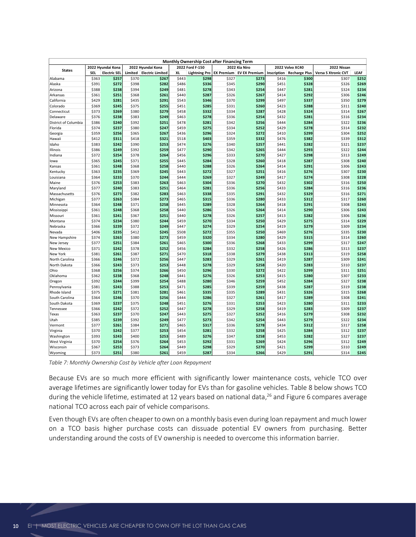|                                  |                |                     |                |                         |                | Monthly Ownership Cost after Financing Term |                   |                      |                |                      |                     |                |
|----------------------------------|----------------|---------------------|----------------|-------------------------|----------------|---------------------------------------------|-------------------|----------------------|----------------|----------------------|---------------------|----------------|
|                                  |                | 2022 Hyundai Kona   |                | 2022 Hyundai Kona       |                | 2022 Ford F-150                             |                   | 2022 Kia Niro        |                | 2022 Volvo XC40      | 2022 Nissan         |                |
| <b>States</b>                    | SEL            | <b>Electric SEL</b> | Limited        | <b>Electric Limited</b> | XL             | <b>Lightning Pro</b>                        | <b>EX Premium</b> | <b>EV EX Premium</b> | Inscription    | <b>Recharge Plus</b> | Versa S Xtronic CVT | LEAF           |
| Alabama                          | \$363          | \$257               | \$370          | \$267                   | \$443          | \$298                                       | \$327             | \$273                | \$416          | \$300                | \$307               | \$252          |
| Alaska                           | \$391          | \$272               | \$398          | \$282                   | \$486          | \$336                                       | \$345             | \$290                | \$451          | \$328                | \$326               | \$269          |
| Arizona                          | \$388          | \$238               | \$394          | \$249                   | \$481          | \$278                                       | \$343             | \$254                | \$447          | \$281                | \$324               | \$234          |
| Arkansas                         | \$361          | \$251               | \$368          | \$261                   | \$440          | \$287                                       | \$326             | \$267                | \$414          | \$292                | \$306               | \$246          |
| California                       | \$429          | \$281               | \$435          | \$291                   | \$543          | \$346                                       | \$370             | \$299                | \$497          | \$337                | \$350               | \$279          |
| Colorado                         | \$369          | \$245               | \$375          | \$255                   | \$451          | \$285                                       | \$331             | \$260                | \$423          | \$288                | \$311               | \$240          |
| Connecticut                      | \$373          | \$269               | \$380          | \$279                   | \$458          | \$332                                       | \$334             | \$287                | \$428          | \$324                | \$314               | \$267          |
| Delaware<br>District of Columbia | \$376<br>\$386 | \$238<br>\$240      | \$383<br>\$392 | \$249<br>\$251          | \$463<br>\$478 | \$278<br>\$281                              | \$336<br>\$342    | \$254<br>\$256       | \$432<br>\$444 | \$281<br>\$284       | \$316<br>\$322      | \$234<br>\$236 |
| Florida                          | \$374          | \$237               | \$380          | \$247                   | \$459          | \$275                                       | \$334             | \$252                | \$429          | \$278                | \$314               | \$232          |
| Georgia                          | \$359          | \$256               | \$365          | \$267                   | \$436          | \$296                                       | \$324             | \$272                | \$410          | \$299                | \$304               | \$252          |
| Hawaii                           | \$412          | \$311               | \$418          | \$321                   | \$518          | \$403                                       | \$359             | \$332                | \$476          | \$382                | \$339               | \$312          |
| Idaho                            | \$383          | \$242               | \$390          | \$253                   | \$474          | \$276                                       | \$340             | \$257                | \$441          | \$282                | \$321               | \$237          |
| Illinois                         | \$386          | \$249               | \$392          | \$259                   | <b>\$477</b>   | \$290                                       | \$342             | \$265                | \$444          | \$293                | \$322               | \$244          |
| Indiana                          | \$372          | \$254               | \$378          | \$264                   | \$456          | \$296                                       | \$333             | \$270                | \$427          | \$298                | \$313               | \$249          |
| lowa                             | \$365          | \$245               | \$371          | \$255                   | \$445          | \$284                                       | \$328             | \$260                | \$418          | \$287                | \$308               | \$240          |
| Kansas                           | \$361          | \$248               | \$368          | \$258                   | \$440          | \$288                                       | \$326             | \$264                | \$414          | \$291                | \$306               | \$243          |
| Kentucky                         | \$363          | \$235               | \$369          | \$245                   | \$443          | \$272                                       | \$327             | \$251                | \$416          | \$276                | \$307               | \$230          |
| Louisiana                        | \$364          | \$233               | \$370          | \$244                   | \$444          | \$269                                       | \$327             | \$249                | \$417          | \$274                | \$308               | \$228          |
| Maine                            | \$376          | \$253               | \$383          | \$263                   | \$463          | \$304                                       | \$336             | \$270                | \$432          | \$302                | \$316               | \$250          |
| Maryland                         | \$377<br>\$376 | \$240<br>\$273      | \$383          | \$251<br>\$283          | \$464          | \$281<br>\$338                              | \$336             | \$256<br>\$291       | \$433          | \$284<br>\$329       | \$316               | \$236<br>\$271 |
| Massachusetts                    | \$377          | \$263               | \$382<br>\$384 | \$273                   | \$463<br>\$465 | \$315                                       | \$335<br>\$336    | \$280                | \$432<br>\$433 | \$312                | \$316<br>\$317      | \$260          |
| Michigan<br>Minnesota            | \$364          | \$248               | \$371          | \$258                   | \$445          | \$289                                       | \$328             | \$264                | \$418          | \$291                | \$308               | \$243          |
| Mississippi                      | \$361          | \$248               | \$368          | \$258                   | \$440          | \$286                                       | \$326             | \$264                | \$414          | \$290                | \$306               | \$243          |
| Missouri                         | \$361          | \$241               | \$367          | \$251                   | \$440          | \$278                                       | \$326             | \$25                 | \$413          | \$282                | \$306               | \$236          |
| Montana                          | \$374          | \$234               | \$380          | \$244                   | \$459          | \$270                                       | \$334             | \$250                | \$429          | \$275                | \$314               | \$229          |
| Nebraska                         | \$366          | \$239               | \$372          | \$249                   | \$447          | \$274                                       | \$329             | \$254                | \$419          | \$279                | \$309               | \$234          |
| Nevada                           | \$406          | \$235               | \$412          | \$245                   | \$508          | \$272                                       | \$355             | \$250                | \$469          | \$276                | \$335               | \$230          |
| New Hampshire                    | \$374          | \$263               | \$380          | \$273                   | \$459          | \$320                                       | \$334             | \$280                | \$429          | \$315                | \$314               | \$260          |
| New Jersey                       | \$377          | \$251               | \$384          | \$261                   | \$465          | \$300                                       | \$336             | \$268                | \$433          | \$299                | \$317               | \$247          |
| <b>New Mexico</b>                | \$371          | \$242               | \$378          | \$252                   | \$456          | \$284                                       | \$332             | \$258                | \$426          | \$286                | \$313               | \$237          |
| New York                         | \$381          | \$261               | \$387          | \$271                   | \$470          | \$318                                       | \$338             | \$279                | \$438          | \$313                | \$319               | \$258          |
| North Carolina                   | \$366          | \$246               | \$372          | \$256                   | \$447          | \$283                                       | \$329             | \$261                | \$419          | \$287                | \$309               | \$241          |
| North Dakota                     | \$366          | \$243               | \$373          | \$253                   | \$448          | \$278                                       | \$329             | \$258                | \$420          | \$283                | \$310               | \$237          |
| Ohio                             | \$368          | \$256               | \$374          | \$266                   | \$450          | \$296                                       | \$330             | \$272                | \$422          | \$299                | \$311               | \$251          |
| Oklahoma<br>Oregon               | \$362<br>\$392 | \$238<br>\$244      | \$368<br>\$399 | \$248<br>\$254          | \$441<br>\$488 | \$276<br>\$280                              | \$326<br>\$346    | \$253<br>\$259       | \$415<br>\$452 | \$280<br>\$284       | \$307<br>\$327      | \$233<br>\$238 |
| Pennsylvania                     | \$381          | \$243               | \$388          | \$253                   | \$471          | \$285                                       | \$339             | \$259                | \$438          | \$287                | \$319               | \$238          |
| Rhode Island                     | \$375          | \$271               | \$381          | \$281                   | \$461          | \$335                                       | \$335             | \$289                | \$431          | \$326                | \$315               | \$268          |
| South Carolina                   | \$364          | \$246               | \$370          | \$256                   | \$444          | \$286                                       | \$327             | \$261                | \$417          | \$289                | \$308               | \$241          |
| South Dakota                     | \$369          | \$237               | \$375          | \$248                   | \$451          | \$276                                       | \$331             | \$253                | \$423          | \$280                | \$311               | \$233          |
| Tennessee                        | \$366          | \$242               | \$372          | \$252                   | \$447          | \$278                                       | \$329             | \$258                | \$419          | \$283                | \$309               | \$237          |
| Texas                            | \$363          | \$237               | \$370          | \$247                   | \$443          | \$275                                       | \$327             | \$252                | \$416          | \$279                | \$308               | \$232          |
| Utah                             | \$385          | \$239               | \$392          | \$249                   | \$477          | \$273                                       | \$342             | \$254                | \$443          | \$279                | \$322               | \$234          |
| Vermont                          | \$377          | \$261               | \$384          | \$271                   | \$465          | \$317                                       | \$336             | \$278                | \$434          | \$312                | \$317               | \$258          |
| Virginia                         | \$370          | \$242               | \$377          | \$253                   | \$454          | \$281                                       | \$332             | \$258                | \$425          | \$284                | \$312               | \$237          |
| Washington                       | \$393          | \$243               | \$400          | \$253                   | \$489          | \$276                                       | \$347             | \$258                | \$453          | \$282                | \$327               | \$237          |
| West Virginia                    | \$370          | \$254               | \$376          | \$264                   | \$453          | \$292                                       | \$331             | \$269                | \$424          | \$296                | \$312               | \$249          |
| Wisconsin                        | \$367          | \$253               | \$373          | \$264                   | \$449          | \$298                                       | \$329             | \$270                | \$421          | \$299                | \$310               | \$249          |
| Wyoming                          | \$373          | \$251               | \$380          | \$261                   | \$459          | \$287                                       | \$334             | \$266                | \$429          | \$291                | \$314               | \$245          |

<span id="page-12-0"></span>*Table 7: Monthly Ownership Cost by Vehicle after Loan Repayment*

Because EVs are so much more efficient with significantly lower maintenance costs, vehicle TCO over average lifetimes are significantly lower today for EVs than for gasoline vehicles[. Table 8](#page-13-0) below shows TCO during the vehicle lifetime, estimated at 12 years based on national data, <sup>26</sup> an[d Figure 6](#page-14-0) compares average national TCO across each pair of vehicle comparisons.

Even though EVs are often cheaper to own on a monthly basis even during loan repayment and much lower on a TCO basis higher purchase costs can dissuade potential EV owners from purchasing. Better understanding around the costs of EV ownership is needed to overcome this information barrier.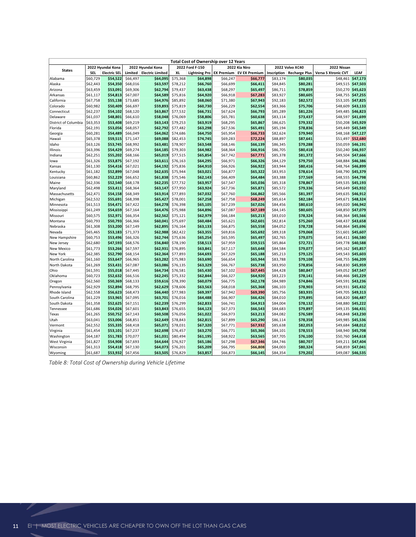|                              |                      |                                          |                      |                                              |                      | Total Cost of Ownership over 12 Years   |                      |                                                  |                      |                                         |                                    |                                        |
|------------------------------|----------------------|------------------------------------------|----------------------|----------------------------------------------|----------------------|-----------------------------------------|----------------------|--------------------------------------------------|----------------------|-----------------------------------------|------------------------------------|----------------------------------------|
| <b>States</b>                | <b>SEL</b>           | 2022 Hyundai Kona<br><b>Electric SEL</b> | Limited              | 2022 Hyundai Kona<br><b>Electric Limited</b> | XL                   | 2022 Ford F-150<br><b>Lightning Pro</b> |                      | 2022 Kia Niro<br><b>EX Premium EV EX Premium</b> | Inscription          | 2022 Volvo XC40<br><b>Recharge Plus</b> | 2022 Nissan<br>Versa S Xtronic CVT | LEAF                                   |
| Alabama                      | \$60,729             | \$54,522                                 | \$66,497             | \$64,095                                     | \$75,368             | \$64,898                                | \$66,247             | \$66,777                                         | \$83,174             | \$80,035                                |                                    | \$48,461 \$47,173                      |
| Alaska                       | \$62,443             | \$54,350                                 | \$68,016             | \$63,597                                     | \$78,212             | \$66,760                                | \$66,699             | \$66,411                                         | \$84,845             | \$80,281                                |                                    | \$49,515 \$47,503                      |
| Arizona                      | \$63,459             | \$53,091                                 | \$69,306             | \$62,794                                     | \$79,437             | \$63,438                                | \$68,297             | \$65,497                                         | \$86,711             | \$78,859                                | \$50,270                           | \$45,623                               |
| Arkansas                     | \$61,117             | \$54,813                                 | \$67,007             | \$64,589                                     | \$75,816             | \$64,920                                | \$66,918             | \$67,283                                         | \$83,927             | \$80,605                                |                                    | \$48,755 \$47,255                      |
| California                   | \$67,758             | \$55,138                                 | \$73,685             | \$64,976                                     | \$85,892             | \$68,060                                | \$71,380             | \$67,943                                         | \$92,183             | \$82,572                                |                                    | \$53,105 \$47,825                      |
| Colorado                     | \$60,982             | \$50,409                                 | \$66,697             | \$59,893                                     | \$75,819             | \$60,730                                | \$66,229             | \$62,554                                         | \$83,366             | \$75,706                                | \$48,609                           | \$43,133                               |
| Connecticut                  | \$62,237             | \$54,102                                 | \$68,120             | \$63,867                                     | \$77,532             | \$66,731                                | \$67,624             | \$66,793                                         | \$85,289             | \$81,226                                | \$49,485                           | \$46,823                               |
| Delaware                     | \$61,037             | \$48,801                                 | \$66,610             | \$58,048                                     | \$76,069             | \$58,806                                | \$65,781             | \$60,638                                         | \$83,114             | \$73,437                                |                                    | \$48,597 \$41,699                      |
| District of Columbia         | \$63,353             | \$53,408                                 | \$69,219             | \$63,143                                     | \$79,253             | \$63,919                                | \$68,295             | \$65,867                                         | \$86,625             | \$79,332                                |                                    | \$50,208 \$45,929                      |
| Florida                      | \$62,191             | \$53,056                                 | \$68,057             | \$62,792                                     | \$77,482             | \$63,298                                | \$67,536             | \$65,491                                         | \$85,194             | \$78,836                                |                                    | \$49,449 \$45,549                      |
| Georgia                      | \$60,281<br>\$65,378 | \$54,489<br>\$59,515                     | \$66,049<br>\$71,147 | \$64,062<br>\$69,088                         | \$74,686<br>\$82,453 | \$64,750<br>\$74,745                    | \$65,954<br>\$69,283 | \$66,733<br>\$72,224                             | \$82,624<br>\$88,897 | \$79,940<br>\$87,641                    |                                    | \$48,168 \$47,127<br>\$51,497 \$52,680 |
| Hawaii<br>Idaho              | \$63,126             | \$53,745                                 | \$68,992             | \$63,481                                     | \$78,907             | \$63,548                                | \$68,146             | \$66,139                                         | \$86,345             | \$79,288                                |                                    | \$50,059 \$46,191                      |
| Illinois                     | \$63,396             | \$54,429                                 | \$69,274             | \$64,185                                     | \$79,303             | \$64,982                                | \$68,364             | \$66,916                                         | \$86,705             | \$80,418                                |                                    | \$50,240 \$46,937                      |
| Indiana                      | \$62,251             | \$55,202                                 | \$68,166             | \$65,019                                     | \$77,515             | \$65,854                                | \$67,742             | \$67,771                                         | \$85,378             | \$81,372                                |                                    | \$49,504 \$47,666                      |
| lowa                         | \$61,326             | \$53,875                                 | \$67,192             | \$63,611                                     | \$76,163             | \$64,295                                | \$66,971             | \$66,326                                         | \$84,129             | \$79,750                                | \$48,884                           | \$46,386                               |
| Kansas                       | \$61,130             | \$54,416                                 | \$67,021             | \$64,192                                     | \$75,836             | \$64,910                                | \$66,926             | \$66,922                                         | \$83,944             | \$80,416                                |                                    | \$48,764 \$46,899                      |
| Kentucky                     | \$61,182             | \$52,899                                 | \$67,048             | \$62,635                                     | \$75,944             | \$63,021                                | \$66,877             | \$65,322                                         | \$83,953             | \$78,614                                | \$48,790                           | \$45,379                               |
| Louisiana                    | \$60,862             | \$52,229                                 | \$66,652             | \$61,838                                     | \$75,546             | \$62,143                                | \$66,409             | \$64,484                                         | \$83,388             | \$77,569                                |                                    | \$48,555 \$44,798                      |
| Maine                        | \$62,336             | \$52,540                                 | \$68,178             | \$62,235                                     | \$77,732             | \$63,957                                | \$67,547             | \$65,036                                         | \$85,318             | \$78,867                                |                                    | \$49,535 \$45,193                      |
| Maryland                     | \$62,498             | \$53,411                                 | \$68,364             | \$63,147                                     | \$77,950             | \$63,924                                | \$67,736             | \$65,871                                         | \$85,572             | \$79,336                                |                                    | \$49,649 \$45,932                      |
| Massachusetts                | \$62,471             | \$54,158                                 | \$68,349             | \$63,914                                     | \$77,893             | \$67,032                                | \$67,760             | \$66,862                                         | \$85,566             | \$81,397                                |                                    | \$49,635 \$46,912                      |
| Michigan                     | \$62,532             | \$55,691                                 | \$68,398             | \$65,427                                     | \$78,001             | \$67,258                                | \$67,758             | \$68,249                                         | \$85,614             | \$82,184                                |                                    | \$49,671 \$48,324                      |
| Minnesota                    | \$61,513             | \$54,471                                 | \$67,422             | \$64,278                                     | \$76,398             | \$65,105                                | \$67,239             | \$67,026                                         | \$84,456             | \$80,610                                |                                    | \$49,020 \$46,942                      |
| Mississippi                  | \$61,249<br>\$60,575 | \$54,659<br>\$52,971                     | \$67,164<br>\$66,354 | \$64,476<br>\$62,562                         | \$75,988             | \$64,896<br>\$62,979                    | \$67,087             | \$67,189<br>\$65,213                             | \$84,145<br>\$83,010 | \$80,605                                |                                    | \$48,850 \$47,079<br>\$48,364 \$45,566 |
| Missouri<br>Montana          | \$60,793             | \$50,793                                 | \$66,366             | \$60,041                                     | \$75,121<br>\$75,697 | \$60,484                                | \$66,184<br>\$65,621 | \$62,601                                         | \$82,814             | \$78,324<br>\$75,260                    |                                    | \$48,437 \$43,658                      |
| Nebraska                     | \$61,308             | \$53,200                                 | \$67,149             | \$62,895                                     | \$76,164             | \$63,133                                | \$66,875             | \$65,558                                         | \$84,052             | \$78,728                                |                                    | \$48,864 \$45,696                      |
| Nevada                       | \$65,465             | \$53,183                                 | \$71,373             | \$62,988                                     | \$82,422             | \$63,355                                | \$69,816             | \$65,692                                         | \$89,318             | \$79,068                                |                                    | \$51,601 \$45,607                      |
| New Hampshire                | \$60,753             | \$53,496                                 | \$66,326             | \$62,744                                     | \$75,636             | \$65,254                                | \$65,595             | \$65,497                                         | \$82,765             | \$79,075                                |                                    | \$48,411 \$46,580                      |
| New Jersey                   | \$62,680             | \$47,593                                 | \$68,576             | \$56,840                                     | \$78,190             | \$58,513                                | \$67,959             | \$59,515                                         | \$85,864             | \$72,721                                |                                    | \$49,778 \$40,588                      |
| <b>New Mexico</b>            | \$61,773             | \$53,266                                 | \$67,597             | \$62,931                                     | \$76,895             | \$63,841                                | \$67,117             | \$65,648                                         | \$84,584             | \$79,077                                |                                    | \$49,162 \$45,857                      |
| New York                     | \$62,385             | \$52,790                                 | \$68,154             | \$62,364                                     | \$77,893             | \$64,693                                | \$67,329             | \$65,188                                         | \$85,213             | \$79,125                                |                                    | \$49,543 \$45,603                      |
| North Carolina               | \$61,160             | \$53,647                                 | \$66,965             | \$63,282                                     | \$75,983             | \$63,690                                | \$66,654             | \$65,944                                         | \$83,788             | \$79,108                                |                                    | \$48,755 \$46,209                      |
| North Dakota                 | \$61,269             | \$53,431                                 | \$67,087             | \$63,086                                     | \$76,135             | \$63,329                                | \$66,767             | \$65,738                                         | \$83,950             | \$78,856                                |                                    | \$48,830 \$45,959                      |
| Ohio                         | \$61,591             | \$55,018                                 | \$67,445             | \$64,734                                     | \$76,581             | \$65,430                                | \$67,102             | \$67,445                                         | \$84,428             | \$80,847                                |                                    | \$49,052 \$47,547                      |
| Oklahoma                     | \$60,723             | \$52,632                                 | \$66,516             | \$62,245                                     | \$75,332             | \$62,844                                | \$66,327             | \$64,920                                         | \$83,223             | \$78,141                                | \$48,466                           | \$45,229                               |
| Oregon                       | \$62,560             | \$50,369<br>\$52,894                     | \$68,133<br>\$68,795 | \$59,616                                     | \$78,390             | \$60,079                                | \$66,775             | \$62,178                                         | \$84,989             | \$74,846                                |                                    | \$49,591 \$43,236<br>\$49,931 \$45,432 |
| Pennsylvania<br>Rhode Island | \$62,929<br>\$62,558 | \$56,623                                 | \$68,473             | \$62,629<br>\$66,440                         | \$78,606<br>\$77,983 | \$63,563<br>\$69,397                    | \$68,018<br>\$67,942 | \$65,368<br>\$69,390                             | \$86,103<br>\$85,756 | \$78,903<br>\$83,935                    |                                    | \$49,705 \$49,313                      |
| South Carolina               | \$61,229             | \$53,965                                 | \$67,095             | \$63,701                                     | \$76,016             | \$64,488                                | \$66,907             | \$66,426                                         | \$84,010             | \$79,895                                |                                    | \$48,820 \$46,487                      |
| South Dakota                 | \$61,358             | \$52,625                                 | \$67,151             | \$62,239                                     | \$76,299             | \$62,833                                | \$66,741             | \$64,913                                         | \$84,004             | \$78,132                                | \$48,880                           | \$45,222                               |
| Tennessee                    | \$61,686             | \$54,026                                 | \$67,601             | \$63,843                                     | \$76,655             | \$64,123                                | \$67,373             | \$66,543                                         | \$84,683             | \$79,897                                |                                    | \$49,135 \$46,431                      |
| Texas                        | \$61,265             | \$50,752                                 | \$67,143             | \$60,508                                     | \$76,056             | \$61,022                                | \$66,973             | \$63,213                                         | \$84,082             | \$76,589                                |                                    | \$48,848 \$43,230                      |
| Utah                         | \$63,041             | \$53,006                                 | \$68,851             | \$62,649                                     | \$78,843             | \$62,815                                | \$67,899             | \$65,290                                         | \$86,114             | \$78,358                                |                                    | \$49,985 \$45,536                      |
| Vermont                      | \$62,552             | \$55,335                                 | \$68,418             | \$65,071                                     | \$78,031             | \$67,320                                | \$67,771             | \$67,932                                         | \$85,638             | \$82,053                                |                                    | \$49,684 \$48,012                      |
| Virginia                     | \$61,454             | \$53,101                                 | \$67,237             | \$62,698                                     | \$76,457             | \$63,270                                | \$66,771             | \$65,366                                         | \$84,101             | \$78,553                                | \$48,940                           | \$45,708                               |
| Washington                   | \$64,187             | \$51,783                                 | \$70,077             | \$61,031                                     | \$80,494             | \$61,195                                | \$68,922             | \$63,565                                         | \$87,705             | \$76,100                                |                                    | \$50,760 \$44,618                      |
| West Virginia                | \$61,827             | \$54,908                                 | \$67,693             | \$64,644                                     | \$76,927             | \$65,186                                | \$67,298             | \$67,346                                         | \$84,746             | \$80,707                                |                                    | \$49,211 \$47,404                      |
| Wisconsin                    | \$61,313             | \$54,418                                 | \$67,130             | \$64,073                                     | \$76,201             | \$65,209                                | \$66,795             | \$66,808                                         | \$84,003             | \$80,324                                |                                    | \$48,859 \$47,041                      |
| Wyoming                      | \$61,687             | \$53,932                                 | \$67,456             | \$63,505                                     | \$76,829             | \$63,857                                | \$66,873             | \$66,145                                         | \$84,354             | \$79,202                                |                                    | \$49,087 \$46,535                      |

<span id="page-13-0"></span>*Table 8: Total Cost of Ownership during Vehicle Lifetime*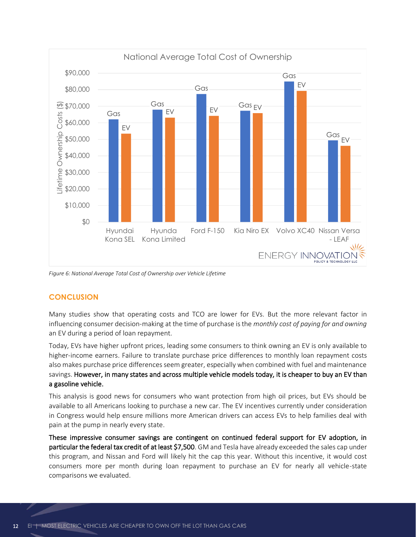

<span id="page-14-0"></span>*Figure 6: National Average Total Cost of Ownership over Vehicle Lifetime*

## **CONCLUSION**

Many studies show that operating costs and TCO are lower for EVs. But the more relevant factor in influencing consumer decision-making at the time of purchase is the *monthly cost of paying for and owning* an EV during a period of loan repayment.

Today, EVs have higher upfront prices, leading some consumers to think owning an EV is only available to higher-income earners. Failure to translate purchase price differences to monthly loan repayment costs also makes purchase price differences seem greater, especially when combined with fuel and maintenance savings. However, in many states and across multiple vehicle models today, it is cheaper to buy an EV than a gasoline vehicle.

This analysis is good news for consumers who want protection from high oil prices, but EVs should be available to all Americans looking to purchase a new car. The EV incentives currently under consideration in Congress would help ensure millions more American drivers can access EVs to help families deal with pain at the pump in nearly every state.

These impressive consumer savings are contingent on continued federal support for EV adoption, in particular the federal tax credit of at least \$7,500. GM and Tesla have already exceeded the sales cap under this program, and Nissan and Ford will likely hit the cap this year. Without this incentive, it would cost consumers more per month during loan repayment to purchase an EV for nearly all vehicle-state comparisons we evaluated.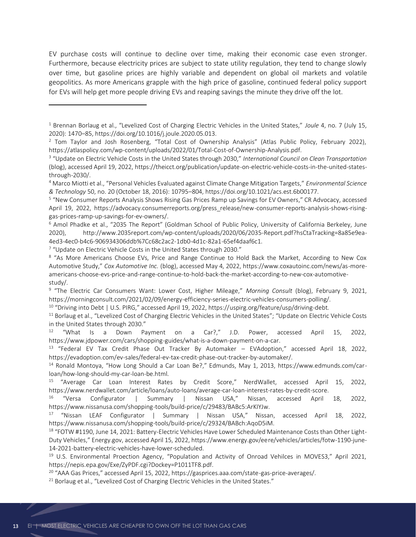EV purchase costs will continue to decline over time, making their economic case even stronger. Furthermore, because electricity prices are subject to state utility regulation, they tend to change slowly over time, but gasoline prices are highly variable and dependent on global oil markets and volatile geopolitics. As more Americans grapple with the high price of gasoline, continued federal policy support for EVs will help get more people driving EVs and reaping savings the minute they drive off the lot.

<sup>7</sup> "Update on Electric Vehicle Costs in the United States through 2030."

<sup>10</sup> "Driving into Debt | U.S. PIRG," accessed April 19, 2022, https://uspirg.org/feature/usp/driving-debt.

<sup>11</sup> Borlaug et al., "Levelized Cost of Charging Electric Vehicles in the United States"; "Update on Electric Vehicle Costs in the United States through 2030."

<sup>12</sup> "What Is a Down Payment on a Car?," J.D. Power, accessed April 15, 2022, https://www.jdpower.com/cars/shopping-guides/what-is-a-down-payment-on-a-car.

<sup>13</sup> "Federal EV Tax Credit Phase Out Tracker By Automaker – EVAdoption," accessed April 18, 2022, https://evadoption.com/ev-sales/federal-ev-tax-credit-phase-out-tracker-by-automaker/.

<sup>14</sup> Ronald Montoya, "How Long Should a Car Loan Be?," Edmunds, May 1, 2013, https://www.edmunds.com/carloan/how-long-should-my-car-loan-be.html.

<sup>15</sup> "Average Car Loan Interest Rates by Credit Score," NerdWallet, accessed April 15, 2022, https://www.nerdwallet.com/article/loans/auto-loans/average-car-loan-interest-rates-by-credit-score.

<sup>16</sup> "Versa Configurator | Summary | Nissan USA," Nissan, accessed April 18, 2022, https://www.nissanusa.com/shopping-tools/build-price/c/29483/BABc5:ArKIYJw.

<sup>17</sup> "Nissan LEAF Configurator | Summary | Nissan USA," Nissan, accessed April 18, 2022, https://www.nissanusa.com/shopping-tools/build-price/c/29324/BABch:AqoD5iM.

<sup>18</sup> "FOTW #1190, June 14, 2021: Battery-Electric Vehicles Have Lower Scheduled Maintenance Costs than Other Light-Duty Vehicles," Energy.gov, accessed April 15, 2022, https://www.energy.gov/eere/vehicles/articles/fotw-1190-june-14-2021-battery-electric-vehicles-have-lower-scheduled.

<sup>19</sup> U.S. Environmental Proection Agency, "Population and Activity of Onroad Vehilces in MOVES3," April 2021, https://nepis.epa.gov/Exe/ZyPDF.cgi?Dockey=P1011TF8.pdf.

<sup>20</sup> "AAA Gas Prices," accessed April 15, 2022, https://gasprices.aaa.com/state-gas-price-averages/.

<sup>21</sup> Borlaug et al., "Levelized Cost of Charging Electric Vehicles in the United States."

<sup>1</sup> Brennan Borlaug et al., "Levelized Cost of Charging Electric Vehicles in the United States," *Joule* 4, no. 7 (July 15, 2020): 1470–85, https://doi.org/10.1016/j.joule.2020.05.013.

<sup>&</sup>lt;sup>2</sup> Tom Taylor and Josh Rosenberg, "Total Cost of Ownership Analysis" (Atlas Public Policy, February 2022), https://atlaspolicy.com/wp-content/uploads/2022/01/Total-Cost-of-Ownership-Analysis.pdf.

<sup>3</sup> "Update on Electric Vehicle Costs in the United States through 2030," *International Council on Clean Transportation* (blog), accessed April 19, 2022, https://theicct.org/publication/update-on-electric-vehicle-costs-in-the-united-statesthrough-2030/.

<sup>4</sup> Marco Miotti et al., "Personal Vehicles Evaluated against Climate Change Mitigation Targets," *Environmental Science & Technology* 50, no. 20 (October 18, 2016): 10795–804, https://doi.org/10.1021/acs.est.6b00177.

<sup>5</sup> "New Consumer Reports Analysis Shows Rising Gas Prices Ramp up Savings for EV Owners," CR Advocacy, accessed April 19, 2022, https://advocacy.consumerreports.org/press\_release/new-consumer-reports-analysis-shows-risinggas-prices-ramp-up-savings-for-ev-owners/.

<sup>6</sup> Amol Phadke et al., "2035 The Report" (Goldman School of Public Policy, University of California Berkeley, June 2020), http://www.2035report.com/wp-content/uploads/2020/06/2035-Report.pdf?hsCtaTracking=8a85e9ea-4ed3-4ec0-b4c6-906934306ddb%7Cc68c2ac2-1db0-4d1c-82a1-65ef4daaf6c1.

<sup>&</sup>lt;sup>8</sup> "As More Americans Choose EVs, Price and Range Continue to Hold Back the Market, According to New Cox Automotive Study," *Cox Automotive Inc.* (blog), accessed May 4, 2022, https://www.coxautoinc.com/news/as-moreamericans-choose-evs-price-and-range-continue-to-hold-back-the-market-according-to-new-cox-automotivestudy/.

<sup>&</sup>lt;sup>9</sup> "The Electric Car Consumers Want: Lower Cost, Higher Mileage," Morning Consult (blog), February 9, 2021, https://morningconsult.com/2021/02/09/energy-efficiency-series-electric-vehicles-consumers-polling/.